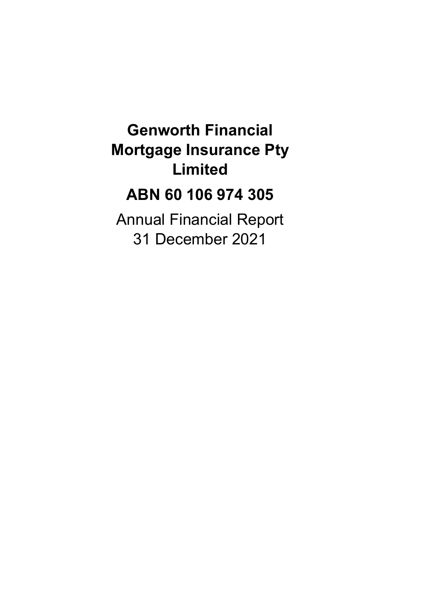## **Genworth Financial Mortgage Insurance Pty Limited**

## **ABN 60 106 974 305**

Annual Financial Report 31 December 2021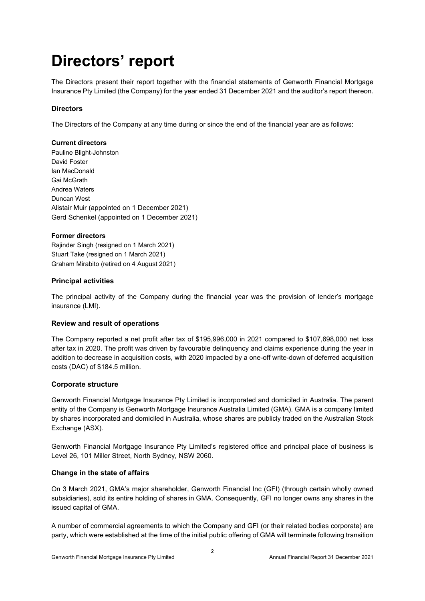## **Directors' report**

The Directors present their report together with the financial statements of Genworth Financial Mortgage Insurance Pty Limited (the Company) for the year ended 31 December 2021 and the auditor's report thereon.

#### **Directors**

The Directors of the Company at any time during or since the end of the financial year are as follows:

#### **Current directors**

Pauline Blight-Johnston David Foster Ian MacDonald Gai McGrath Andrea Waters Duncan West Alistair Muir (appointed on 1 December 2021) Gerd Schenkel (appointed on 1 December 2021)

#### **Former directors**

Rajinder Singh (resigned on 1 March 2021) Stuart Take (resigned on 1 March 2021) Graham Mirabito (retired on 4 August 2021)

#### **Principal activities**

The principal activity of the Company during the financial year was the provision of lender's mortgage insurance (LMI).

#### **Review and result of operations**

The Company reported a net profit after tax of \$195,996,000 in 2021 compared to \$107,698,000 net loss after tax in 2020. The profit was driven by favourable delinquency and claims experience during the year in addition to decrease in acquisition costs, with 2020 impacted by a one-off write-down of deferred acquisition costs (DAC) of \$184.5 million.

#### **Corporate structure**

Genworth Financial Mortgage Insurance Pty Limited is incorporated and domiciled in Australia. The parent entity of the Company is Genworth Mortgage Insurance Australia Limited (GMA). GMA is a company limited by shares incorporated and domiciled in Australia, whose shares are publicly traded on the Australian Stock Exchange (ASX).

Genworth Financial Mortgage Insurance Pty Limited's registered office and principal place of business is Level 26, 101 Miller Street, North Sydney, NSW 2060.

#### **Change in the state of affairs**

On 3 March 2021, GMA's major shareholder, Genworth Financial Inc (GFI) (through certain wholly owned subsidiaries), sold its entire holding of shares in GMA. Consequently, GFI no longer owns any shares in the issued capital of GMA.

A number of commercial agreements to which the Company and GFI (or their related bodies corporate) are party, which were established at the time of the initial public offering of GMA will terminate following transition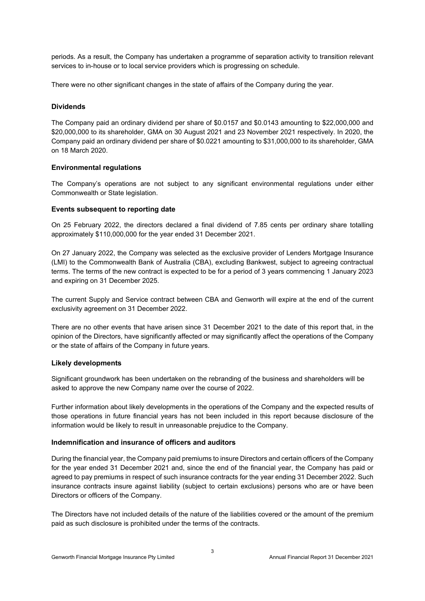periods. As a result, the Company has undertaken a programme of separation activity to transition relevant services to in-house or to local service providers which is progressing on schedule.

There were no other significant changes in the state of affairs of the Company during the year.

#### **Dividends**

The Company paid an ordinary dividend per share of \$0.0157 and \$0.0143 amounting to \$22,000,000 and \$20,000,000 to its shareholder, GMA on 30 August 2021 and 23 November 2021 respectively. In 2020, the Company paid an ordinary dividend per share of \$0.0221 amounting to \$31,000,000 to its shareholder, GMA on 18 March 2020.

#### **Environmental regulations**

The Company's operations are not subject to any significant environmental regulations under either Commonwealth or State legislation.

#### **Events subsequent to reporting date**

On 25 February 2022, the directors declared a final dividend of 7.85 cents per ordinary share totalling approximately \$110,000,000 for the year ended 31 December 2021.

On 27 January 2022, the Company was selected as the exclusive provider of Lenders Mortgage Insurance (LMI) to the Commonwealth Bank of Australia (CBA), excluding Bankwest, subject to agreeing contractual terms. The terms of the new contract is expected to be for a period of 3 years commencing 1 January 2023 and expiring on 31 December 2025.

The current Supply and Service contract between CBA and Genworth will expire at the end of the current exclusivity agreement on 31 December 2022.

There are no other events that have arisen since 31 December 2021 to the date of this report that, in the opinion of the Directors, have significantly affected or may significantly affect the operations of the Company or the state of affairs of the Company in future years.

#### **Likely developments**

Significant groundwork has been undertaken on the rebranding of the business and shareholders will be asked to approve the new Company name over the course of 2022.

Further information about likely developments in the operations of the Company and the expected results of those operations in future financial years has not been included in this report because disclosure of the information would be likely to result in unreasonable prejudice to the Company.

#### **Indemnification and insurance of officers and auditors**

During the financial year, the Company paid premiums to insure Directors and certain officers of the Company for the year ended 31 December 2021 and, since the end of the financial year, the Company has paid or agreed to pay premiums in respect of such insurance contracts for the year ending 31 December 2022. Such insurance contracts insure against liability (subject to certain exclusions) persons who are or have been Directors or officers of the Company.

The Directors have not included details of the nature of the liabilities covered or the amount of the premium paid as such disclosure is prohibited under the terms of the contracts.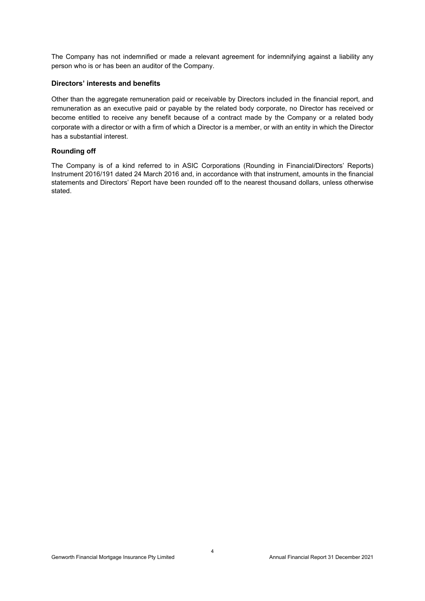The Company has not indemnified or made a relevant agreement for indemnifying against a liability any person who is or has been an auditor of the Company.

#### **Directors' interests and benefits**

Other than the aggregate remuneration paid or receivable by Directors included in the financial report, and remuneration as an executive paid or payable by the related body corporate, no Director has received or become entitled to receive any benefit because of a contract made by the Company or a related body corporate with a director or with a firm of which a Director is a member, or with an entity in which the Director has a substantial interest.

#### **Rounding off**

The Company is of a kind referred to in ASIC Corporations (Rounding in Financial/Directors' Reports) Instrument 2016/191 dated 24 March 2016 and, in accordance with that instrument, amounts in the financial statements and Directors' Report have been rounded off to the nearest thousand dollars, unless otherwise stated.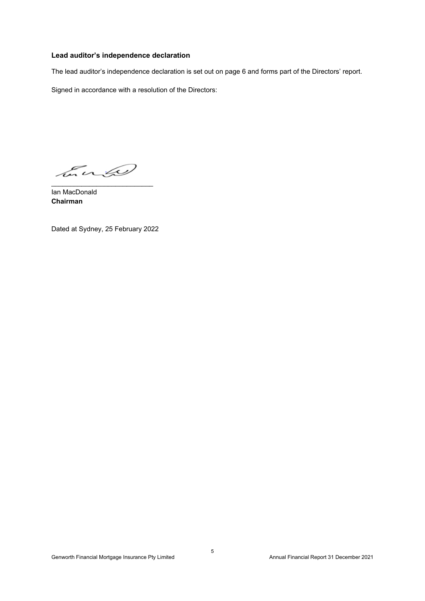#### **Lead auditor's independence declaration**

The lead auditor's independence declaration is set out on page 6 and forms part of the Directors' report.

Signed in accordance with a resolution of the Directors:

Euro \_\_\_\_\_\_\_\_\_\_\_\_\_\_\_\_\_\_\_\_\_\_\_\_\_\_\_

Ian MacDonald **Chairman**

Dated at Sydney, 25 February 2022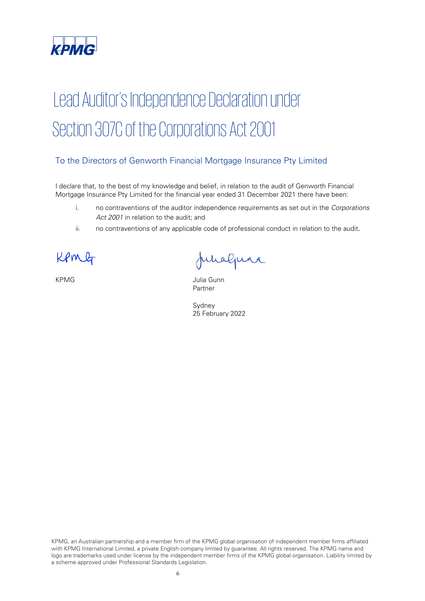

# Lead Auditor's Independence Declaration under Section 307C of the Corporations Act 2001

### To the Directors of Genworth Financial Mortgage Insurance Pty Limited

I declare that, to the best of my knowledge and belief, in relation to the audit of Genworth Financial Mortgage Insurance Pty Limited for the financial year ended 31 December 2021 there have been:

- i. no contraventions of the auditor independence requirements as set out in the Corporations Act 2001 in relation to the audit; and
- ii. no contraventions of any applicable code of professional conduct in relation to the audit.

ΟM

Junaljuni

KPMG **Julia Gunn** Partner

Sydney 25 February 2022

KPMG, an Australian partnership and a member firm of the KPMG global organisation of independent member firms affiliated with KPMG International Limited, a private English company limited by guarantee. All rights reserved. The KPMG name and logo are trademarks used under license by the independent member firms of the KPMG global organisation. Liability limited by a scheme approved under Professional Standards Legislation.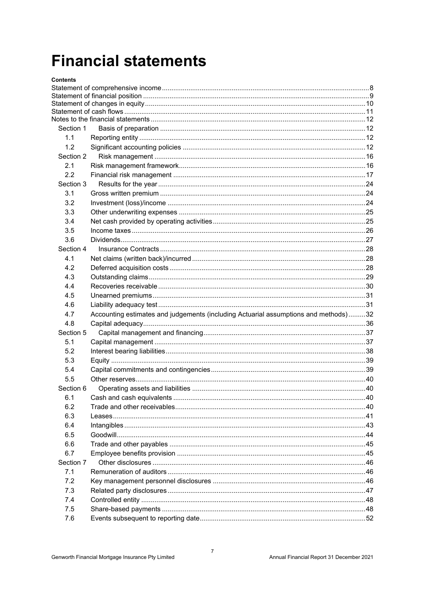## **Financial statements**

| Contents  |                                                                                     |     |
|-----------|-------------------------------------------------------------------------------------|-----|
|           |                                                                                     |     |
|           |                                                                                     |     |
|           |                                                                                     |     |
|           |                                                                                     |     |
| Section 1 |                                                                                     |     |
| 1.1       |                                                                                     |     |
| 1.2       |                                                                                     |     |
| Section 2 |                                                                                     |     |
| 2.1       |                                                                                     |     |
| 2.2       |                                                                                     |     |
| Section 3 |                                                                                     |     |
| 3.1       |                                                                                     |     |
| 3.2       |                                                                                     |     |
|           |                                                                                     |     |
| 3.3       |                                                                                     |     |
| 3.4       |                                                                                     |     |
| 3.5       |                                                                                     |     |
| 3.6       |                                                                                     |     |
| Section 4 |                                                                                     |     |
| 4.1       |                                                                                     |     |
| 4.2       |                                                                                     |     |
| 4.3       |                                                                                     |     |
| 4.4       |                                                                                     |     |
| 4.5       |                                                                                     |     |
| 4.6       |                                                                                     |     |
| 4.7       | Accounting estimates and judgements (including Actuarial assumptions and methods)32 |     |
| 4.8       |                                                                                     |     |
| Section 5 |                                                                                     |     |
| 5.1       |                                                                                     |     |
| 5.2       |                                                                                     |     |
| 5.3       |                                                                                     |     |
| 5.4       |                                                                                     |     |
| 5.5       |                                                                                     |     |
| Section 6 |                                                                                     |     |
| 6.1       | Cash and cash equivalents                                                           | .40 |
| 6.2       |                                                                                     |     |
| 6.3       |                                                                                     |     |
| 6.4       |                                                                                     |     |
| 6.5       |                                                                                     |     |
| 6.6       |                                                                                     |     |
| 6.7       |                                                                                     |     |
| Section 7 |                                                                                     |     |
| 7.1       |                                                                                     |     |
| 7.2       |                                                                                     |     |
| 7.3       |                                                                                     |     |
| 7.4       |                                                                                     |     |
| 7.5       |                                                                                     |     |
| 7.6       |                                                                                     |     |
|           |                                                                                     |     |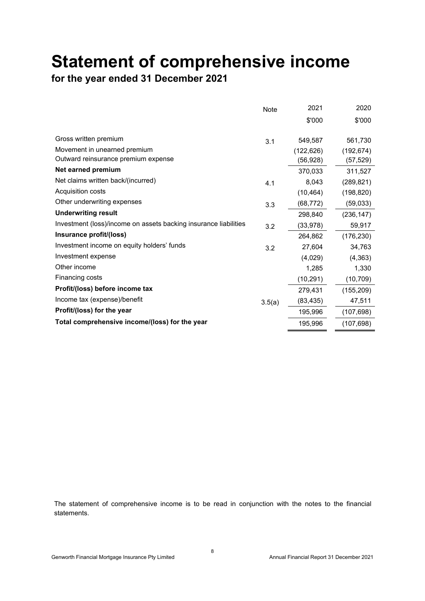## **Statement of comprehensive income**

**for the year ended 31 December 2021** 

|                                                                  | Note   | 2021       | 2020       |
|------------------------------------------------------------------|--------|------------|------------|
|                                                                  |        | \$'000     | \$'000     |
| Gross written premium                                            |        |            |            |
|                                                                  | 3.1    | 549,587    | 561,730    |
| Movement in unearned premium                                     |        | (122, 626) | (192, 674) |
| Outward reinsurance premium expense                              |        | (56,928)   | (57, 529)  |
| Net earned premium                                               |        | 370,033    | 311,527    |
| Net claims written back/(incurred)                               | 4.1    | 8,043      | (289, 821) |
| Acquisition costs                                                |        | (10, 464)  | (198, 820) |
| Other underwriting expenses                                      | 3.3    | (68, 772)  | (59,033)   |
| <b>Underwriting result</b>                                       |        | 298,840    | (236, 147) |
| Investment (loss)/income on assets backing insurance liabilities | 3.2    | (33, 978)  | 59,917     |
| Insurance profit/(loss)                                          |        | 264,862    | (176, 230) |
| Investment income on equity holders' funds                       | 3.2    | 27,604     | 34,763     |
| Investment expense                                               |        | (4,029)    | (4, 363)   |
| Other income                                                     |        | 1,285      | 1,330      |
| Financing costs                                                  |        | (10, 291)  | (10, 709)  |
| Profit/(loss) before income tax                                  |        | 279,431    | (155, 209) |
| Income tax (expense)/benefit                                     | 3.5(a) | (83, 435)  | 47,511     |
| Profit/(loss) for the year                                       |        | 195,996    | (107, 698) |
| Total comprehensive income/(loss) for the year                   |        | 195,996    | (107, 698) |

The statement of comprehensive income is to be read in conjunction with the notes to the financial statements.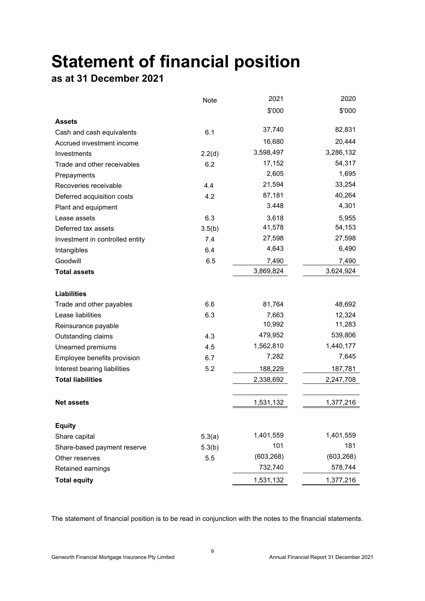# **Statement of financial position**

## **as at 31 December 2021**

|                                 | Note   | 2021       | 2020       |
|---------------------------------|--------|------------|------------|
|                                 |        | \$'000     | \$'000     |
| <b>Assets</b>                   |        |            |            |
| Cash and cash equivalents       | 6.1    | 37,740     | 82,831     |
| Accrued investment income       |        | 16,680     | 20,444     |
| Investments                     | 2.2(d) | 3,598,497  | 3,286,132  |
| Trade and other receivables     | 6.2    | 17,152     | 54,317     |
| Prepayments                     |        | 2,605      | 1,695      |
| Recoveries receivable           | 4.4    | 21,594     | 33,254     |
| Deferred acquisition costs      | 4.2    | 87,181     | 40,264     |
| Plant and equipment             |        | 3.448      | 4,301      |
| Lease assets                    | 6.3    | 3,618      | 5,955      |
| Deferred tax assets             | 3.5(b) | 41,578     | 54,153     |
| Investment in controlled entity | 7.4    | 27,598     | 27,598     |
| Intangibles                     | 6.4    | 4,643      | 6,490      |
| Goodwill                        | 6.5    | 7,490      | 7,490      |
| <b>Total assets</b>             |        | 3,869,824  | 3,624,924  |
|                                 |        |            |            |
| <b>Liabilities</b>              |        |            |            |
| Trade and other payables        | 6.6    | 81,764     | 48,692     |
| Lease liabilities               | 6.3    | 7,663      | 12,324     |
| Reinsurance payable             |        | 10,992     | 11,283     |
| Outstanding claims              | 4.3    | 479,952    | 539,806    |
| Unearned premiums               | 4.5    | 1,562,810  | 1,440,177  |
| Employee benefits provision     | 6.7    | 7,282      | 7,645      |
| Interest bearing liabilities    | 5.2    | 188,229    | 187,781    |
| <b>Total liabilities</b>        |        | 2,338,692  | 2,247,708  |
|                                 |        |            |            |
| <b>Net assets</b>               |        | 1,531,132  | 1,377,216  |
|                                 |        |            |            |
| <b>Equity</b>                   |        | 1,401,559  | 1,401,559  |
| Share capital                   | 5.3(a) | 101        | 181        |
| Share-based payment reserve     | 5.3(b) | (603, 268) | (603, 268) |
| Other reserves                  | 5.5    | 732,740    | 578,744    |
| Retained earnings               |        |            |            |
| <b>Total equity</b>             |        | 1,531,132  | 1,377,216  |

The statement of financial position is to be read in conjunction with the notes to the financial statements.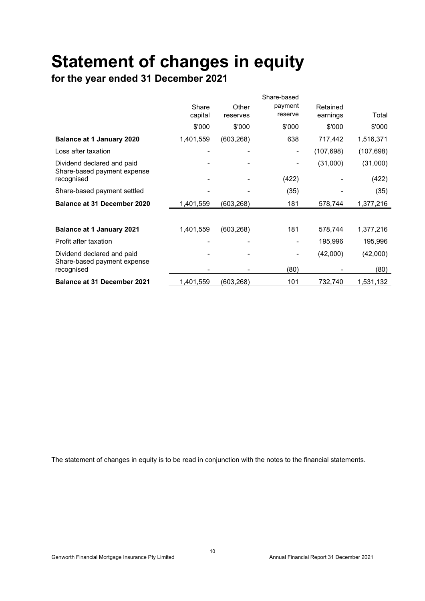# **Statement of changes in equity**

**for the year ended 31 December 2021** 

|                                                           |                  |                   | Share-based        |                      |            |
|-----------------------------------------------------------|------------------|-------------------|--------------------|----------------------|------------|
|                                                           | Share<br>capital | Other<br>reserves | payment<br>reserve | Retained<br>earnings | Total      |
|                                                           | \$'000           | \$'000            | \$'000             | \$'000               | \$'000     |
| <b>Balance at 1 January 2020</b>                          | 1,401,559        | (603, 268)        | 638                | 717,442              | 1,516,371  |
| Loss after taxation                                       |                  |                   |                    | (107, 698)           | (107, 698) |
| Dividend declared and paid<br>Share-based payment expense |                  |                   |                    | (31,000)             | (31,000)   |
| recognised                                                |                  |                   | (422)              |                      | (422)      |
| Share-based payment settled                               |                  |                   | (35)               |                      | (35)       |
| Balance at 31 December 2020                               | 1,401,559        | (603, 268)        | 181                | 578,744              | 1,377,216  |
|                                                           |                  |                   |                    |                      |            |
| <b>Balance at 1 January 2021</b>                          | 1,401,559        | (603, 268)        | 181                | 578,744              | 1,377,216  |
| Profit after taxation                                     |                  |                   |                    | 195,996              | 195,996    |
| Dividend declared and paid<br>Share-based payment expense |                  |                   |                    | (42,000)             | (42,000)   |
| recognised                                                |                  |                   | (80)               |                      | (80)       |
| <b>Balance at 31 December 2021</b>                        | 1,401,559        | (603, 268)        | 101                | 732,740              | 1,531,132  |

The statement of changes in equity is to be read in conjunction with the notes to the financial statements.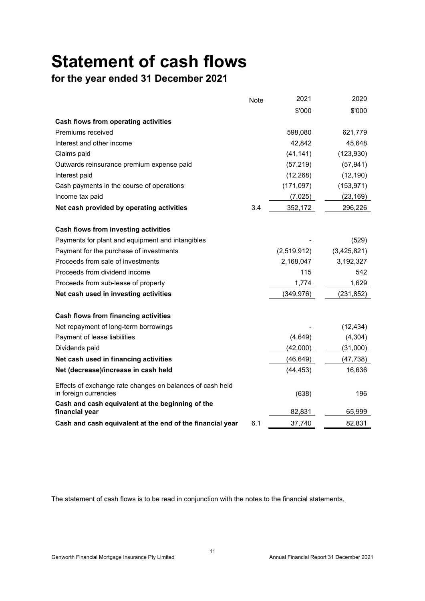# **Statement of cash flows**

## **for the year ended 31 December 2021**

|                                                                                    | Note | 2021        | 2020        |
|------------------------------------------------------------------------------------|------|-------------|-------------|
|                                                                                    |      | \$'000      | \$'000      |
| Cash flows from operating activities                                               |      |             |             |
| Premiums received                                                                  |      | 598,080     | 621,779     |
| Interest and other income                                                          |      | 42,842      | 45,648      |
| Claims paid                                                                        |      | (41, 141)   | (123, 930)  |
| Outwards reinsurance premium expense paid                                          |      | (57, 219)   | (57, 941)   |
| Interest paid                                                                      |      | (12, 268)   | (12, 190)   |
| Cash payments in the course of operations                                          |      | (171, 097)  | (153, 971)  |
| Income tax paid                                                                    |      | (7,025)     | (23, 169)   |
| Net cash provided by operating activities                                          | 3.4  | 352,172     | 296,226     |
|                                                                                    |      |             |             |
| Cash flows from investing activities                                               |      |             |             |
| Payments for plant and equipment and intangibles                                   |      |             | (529)       |
| Payment for the purchase of investments                                            |      | (2,519,912) | (3,425,821) |
| Proceeds from sale of investments                                                  |      | 2,168,047   | 3,192,327   |
| Proceeds from dividend income                                                      |      | 115         | 542         |
| Proceeds from sub-lease of property                                                |      | 1,774       | 1,629       |
| Net cash used in investing activities                                              |      | (349, 976)  | (231, 852)  |
| <b>Cash flows from financing activities</b>                                        |      |             |             |
| Net repayment of long-term borrowings                                              |      |             | (12, 434)   |
| Payment of lease liabilities                                                       |      | (4,649)     | (4,304)     |
| Dividends paid                                                                     |      | (42,000)    | (31,000)    |
| Net cash used in financing activities                                              |      | (46, 649)   | (47, 738)   |
| Net (decrease)/increase in cash held                                               |      | (44, 453)   | 16,636      |
| Effects of exchange rate changes on balances of cash held<br>in foreign currencies |      | (638)       | 196         |
| Cash and cash equivalent at the beginning of the<br>financial year                 |      | 82,831      | 65,999      |
| Cash and cash equivalent at the end of the financial year                          | 6.1  | 37,740      | 82,831      |

The statement of cash flows is to be read in conjunction with the notes to the financial statements.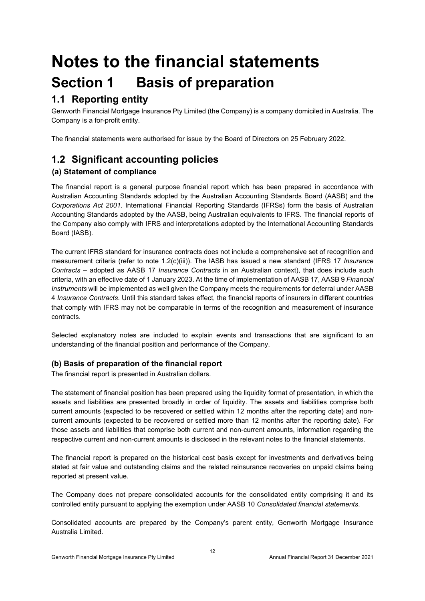## **Notes to the financial statements Section 1 Basis of preparation**

## **1.1 Reporting entity**

Genworth Financial Mortgage Insurance Pty Limited (the Company) is a company domiciled in Australia. The Company is a for-profit entity.

The financial statements were authorised for issue by the Board of Directors on 25 February 2022.

## **1.2 Significant accounting policies**

#### **(a) Statement of compliance**

The financial report is a general purpose financial report which has been prepared in accordance with Australian Accounting Standards adopted by the Australian Accounting Standards Board (AASB) and the *Corporations Act 2001*. International Financial Reporting Standards (IFRSs) form the basis of Australian Accounting Standards adopted by the AASB, being Australian equivalents to IFRS. The financial reports of the Company also comply with IFRS and interpretations adopted by the International Accounting Standards Board (IASB).

The current IFRS standard for insurance contracts does not include a comprehensive set of recognition and measurement criteria (refer to note 1.2(c)(iii)). The IASB has issued a new standard (IFRS 17 *Insurance Contracts* – adopted as AASB 17 *Insurance Contracts* in an Australian context), that does include such criteria, with an effective date of 1 January 2023. At the time of implementation of AASB 17, AASB 9 *Financial Instruments* will be implemented as well given the Company meets the requirements for deferral under AASB 4 *Insurance Contracts*. Until this standard takes effect, the financial reports of insurers in different countries that comply with IFRS may not be comparable in terms of the recognition and measurement of insurance contracts.

Selected explanatory notes are included to explain events and transactions that are significant to an understanding of the financial position and performance of the Company.

#### **(b) Basis of preparation of the financial report**

The financial report is presented in Australian dollars.

The statement of financial position has been prepared using the liquidity format of presentation, in which the assets and liabilities are presented broadly in order of liquidity. The assets and liabilities comprise both current amounts (expected to be recovered or settled within 12 months after the reporting date) and noncurrent amounts (expected to be recovered or settled more than 12 months after the reporting date). For those assets and liabilities that comprise both current and non-current amounts, information regarding the respective current and non-current amounts is disclosed in the relevant notes to the financial statements.

The financial report is prepared on the historical cost basis except for investments and derivatives being stated at fair value and outstanding claims and the related reinsurance recoveries on unpaid claims being reported at present value.

The Company does not prepare consolidated accounts for the consolidated entity comprising it and its controlled entity pursuant to applying the exemption under AASB 10 *Consolidated financial statements*.

Consolidated accounts are prepared by the Company's parent entity, Genworth Mortgage Insurance Australia Limited.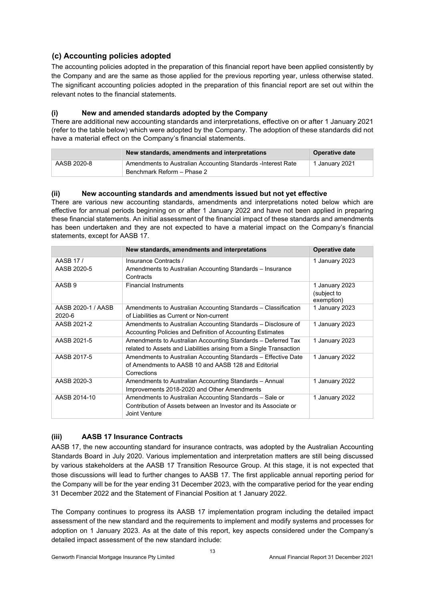#### **(c) Accounting policies adopted**

The accounting policies adopted in the preparation of this financial report have been applied consistently by the Company and are the same as those applied for the previous reporting year, unless otherwise stated. The significant accounting policies adopted in the preparation of this financial report are set out within the relevant notes to the financial statements.

#### **(i) New and amended standards adopted by the Company**

There are additional new accounting standards and interpretations, effective on or after 1 January 2021 (refer to the table below) which were adopted by the Company. The adoption of these standards did not have a material effect on the Company's financial statements.

|             | New standards, amendments and interpretations                                               | Operative date |
|-------------|---------------------------------------------------------------------------------------------|----------------|
| AASB 2020-8 | Amendments to Australian Accounting Standards - Interest Rate<br>Benchmark Reform - Phase 2 | 1 January 2021 |

#### **(ii) New accounting standards and amendments issued but not yet effective**

There are various new accounting standards, amendments and interpretations noted below which are effective for annual periods beginning on or after 1 January 2022 and have not been applied in preparing these financial statements. An initial assessment of the financial impact of these standards and amendments has been undertaken and they are not expected to have a material impact on the Company's financial statements, except for AASB 17.

|                              | New standards, amendments and interpretations                                                                                               | <b>Operative date</b>                       |
|------------------------------|---------------------------------------------------------------------------------------------------------------------------------------------|---------------------------------------------|
| AASB 17/<br>AASB 2020-5      | Insurance Contracts /<br>Amendments to Australian Accounting Standards – Insurance<br>Contracts                                             | 1 January 2023                              |
| AASB <sub>9</sub>            | <b>Financial Instruments</b>                                                                                                                | 1 January 2023<br>(subject to<br>exemption) |
| AASB 2020-1 / AASB<br>2020-6 | Amendments to Australian Accounting Standards – Classification<br>of Liabilities as Current or Non-current                                  | 1 January 2023                              |
| AASB 2021-2                  | Amendments to Australian Accounting Standards – Disclosure of<br>Accounting Policies and Definition of Accounting Estimates                 | 1 January 2023                              |
| AASB 2021-5                  | Amendments to Australian Accounting Standards - Deferred Tax<br>related to Assets and Liabilities arising from a Single Transaction         | 1 January 2023                              |
| AASB 2017-5                  | Amendments to Australian Accounting Standards - Effective Date<br>of Amendments to AASB 10 and AASB 128 and Editorial<br>Corrections        | 1 January 2022                              |
| AASB 2020-3                  | Amendments to Australian Accounting Standards - Annual<br>Improvements 2018-2020 and Other Amendments                                       | 1 January 2022                              |
| AASB 2014-10                 | Amendments to Australian Accounting Standards – Sale or<br>Contribution of Assets between an Investor and its Associate or<br>Joint Venture | 1 January 2022                              |

#### **(iii) AASB 17 Insurance Contracts**

AASB 17, the new accounting standard for insurance contracts, was adopted by the Australian Accounting Standards Board in July 2020. Various implementation and interpretation matters are still being discussed by various stakeholders at the AASB 17 Transition Resource Group. At this stage, it is not expected that those discussions will lead to further changes to AASB 17. The first applicable annual reporting period for the Company will be for the year ending 31 December 2023, with the comparative period for the year ending 31 December 2022 and the Statement of Financial Position at 1 January 2022.

The Company continues to progress its AASB 17 implementation program including the detailed impact assessment of the new standard and the requirements to implement and modify systems and processes for adoption on 1 January 2023. As at the date of this report, key aspects considered under the Company's detailed impact assessment of the new standard include: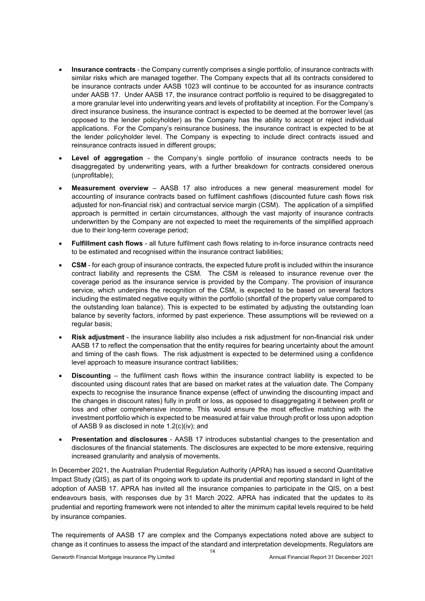- **Insurance contracts**  the Company currently comprises a single portfolio, of insurance contracts with similar risks which are managed together. The Company expects that all its contracts considered to be insurance contracts under AASB 1023 will continue to be accounted for as insurance contracts under AASB 17. Under AASB 17, the insurance contract portfolio is required to be disaggregated to a more granular level into underwriting years and levels of profitability at inception. For the Company's direct insurance business, the insurance contract is expected to be deemed at the borrower level (as opposed to the lender policyholder) as the Company has the ability to accept or reject individual applications. For the Company's reinsurance business, the insurance contract is expected to be at the lender policyholder level. The Company is expecting to include direct contracts issued and reinsurance contracts issued in different groups;
- **Level of aggregation** the Company's single portfolio of insurance contracts needs to be disaggregated by underwriting years, with a further breakdown for contracts considered onerous (unprofitable);
- **Measurement overview**  AASB 17 also introduces a new general measurement model for accounting of insurance contracts based on fulfilment cashflows (discounted future cash flows risk adjusted for non-financial risk) and contractual service margin (CSM). The application of a simplified approach is permitted in certain circumstances, although the vast majority of insurance contracts underwritten by the Company are not expected to meet the requirements of the simplified approach due to their long-term coverage period;
- **Fulfillment cash flows** all future fulfilment cash flows relating to in-force insurance contracts need to be estimated and recognised within the insurance contract liabilities;
- **CSM** for each group of insurance contracts, the expected future profit is included within the insurance contract liability and represents the CSM. The CSM is released to insurance revenue over the coverage period as the insurance service is provided by the Company. The provision of insurance service, which underpins the recognition of the CSM, is expected to be based on several factors including the estimated negative equity within the portfolio (shortfall of the property value compared to the outstanding loan balance). This is expected to be estimated by adjusting the outstanding loan balance by severity factors, informed by past experience. These assumptions will be reviewed on a regular basis;
- **Risk adjustment** the insurance liability also includes a risk adjustment for non-financial risk under AASB 17 to reflect the compensation that the entity requires for bearing uncertainty about the amount and timing of the cash flows. The risk adjustment is expected to be determined using a confidence level approach to measure insurance contract liabilities;
- **Discounting** the fulfilment cash flows within the insurance contract liability is expected to be discounted using discount rates that are based on market rates at the valuation date. The Company expects to recognise the insurance finance expense (effect of unwinding the discounting impact and the changes in discount rates) fully in profit or loss, as opposed to disaggregating it between profit or loss and other comprehensive income. This would ensure the most effective matching with the investment portfolio which is expected to be measured at fair value through profit or loss upon adoption of AASB 9 as disclosed in note 1.2(c)(iv); and
- **Presentation and disclosures** AASB 17 introduces substantial changes to the presentation and disclosures of the financial statements. The disclosures are expected to be more extensive, requiring increased granularity and analysis of movements.

In December 2021, the Australian Prudential Regulation Authority (APRA) has issued a second Quantitative Impact Study (QIS), as part of its ongoing work to update its prudential and reporting standard in light of the adoption of AASB 17. APRA has invited all the insurance companies to participate in the QIS, on a best endeavours basis, with responses due by 31 March 2022. APRA has indicated that the updates to its prudential and reporting framework were not intended to alter the minimum capital levels required to be held by insurance companies.

The requirements of AASB 17 are complex and the Companys expectations noted above are subject to change as it continues to assess the impact of the standard and interpretation developments. Regulators are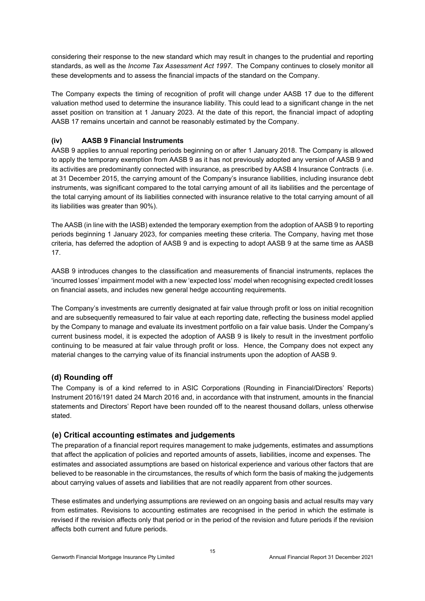considering their response to the new standard which may result in changes to the prudential and reporting standards, as well as the *Income Tax Assessment Act 1997*. The Company continues to closely monitor all these developments and to assess the financial impacts of the standard on the Company.

The Company expects the timing of recognition of profit will change under AASB 17 due to the different valuation method used to determine the insurance liability. This could lead to a significant change in the net asset position on transition at 1 January 2023. At the date of this report, the financial impact of adopting AASB 17 remains uncertain and cannot be reasonably estimated by the Company.

#### **(iv) AASB 9 Financial Instruments**

AASB 9 applies to annual reporting periods beginning on or after 1 January 2018. The Company is allowed to apply the temporary exemption from AASB 9 as it has not previously adopted any version of AASB 9 and its activities are predominantly connected with insurance, as prescribed by AASB 4 Insurance Contracts (i.e. at 31 December 2015, the carrying amount of the Company's insurance liabilities, including insurance debt instruments, was significant compared to the total carrying amount of all its liabilities and the percentage of the total carrying amount of its liabilities connected with insurance relative to the total carrying amount of all its liabilities was greater than 90%).

The AASB (in line with the IASB) extended the temporary exemption from the adoption of AASB 9 to reporting periods beginning 1 January 2023, for companies meeting these criteria. The Company, having met those criteria, has deferred the adoption of AASB 9 and is expecting to adopt AASB 9 at the same time as AASB 17.

AASB 9 introduces changes to the classification and measurements of financial instruments, replaces the 'incurred losses' impairment model with a new 'expected loss' model when recognising expected credit losses on financial assets, and includes new general hedge accounting requirements.

The Company's investments are currently designated at fair value through profit or loss on initial recognition and are subsequently remeasured to fair value at each reporting date, reflecting the business model applied by the Company to manage and evaluate its investment portfolio on a fair value basis. Under the Company's current business model, it is expected the adoption of AASB 9 is likely to result in the investment portfolio continuing to be measured at fair value through profit or loss. Hence, the Company does not expect any material changes to the carrying value of its financial instruments upon the adoption of AASB 9.

#### **(d) Rounding off**

The Company is of a kind referred to in ASIC Corporations (Rounding in Financial/Directors' Reports) Instrument 2016/191 dated 24 March 2016 and, in accordance with that instrument, amounts in the financial statements and Directors' Report have been rounded off to the nearest thousand dollars, unless otherwise stated.

#### **(e) Critical accounting estimates and judgements**

The preparation of a financial report requires management to make judgements, estimates and assumptions that affect the application of policies and reported amounts of assets, liabilities, income and expenses. The estimates and associated assumptions are based on historical experience and various other factors that are believed to be reasonable in the circumstances, the results of which form the basis of making the judgements about carrying values of assets and liabilities that are not readily apparent from other sources.

These estimates and underlying assumptions are reviewed on an ongoing basis and actual results may vary from estimates. Revisions to accounting estimates are recognised in the period in which the estimate is revised if the revision affects only that period or in the period of the revision and future periods if the revision affects both current and future periods.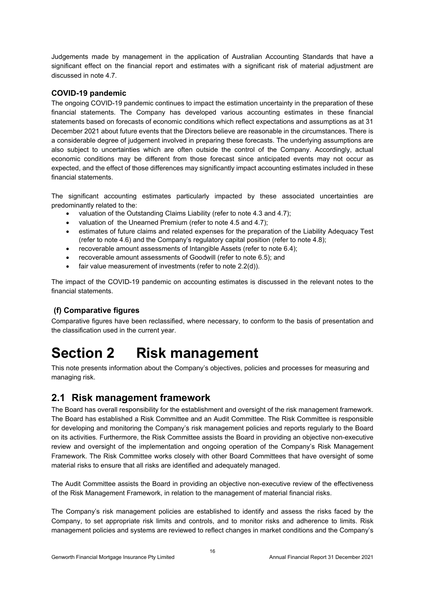Judgements made by management in the application of Australian Accounting Standards that have a significant effect on the financial report and estimates with a significant risk of material adjustment are discussed in note 4.7.

#### **COVID-19 pandemic**

The ongoing COVID-19 pandemic continues to impact the estimation uncertainty in the preparation of these financial statements. The Company has developed various accounting estimates in these financial statements based on forecasts of economic conditions which reflect expectations and assumptions as at 31 December 2021 about future events that the Directors believe are reasonable in the circumstances. There is a considerable degree of judgement involved in preparing these forecasts. The underlying assumptions are also subject to uncertainties which are often outside the control of the Company. Accordingly, actual economic conditions may be different from those forecast since anticipated events may not occur as expected, and the effect of those differences may significantly impact accounting estimates included in these financial statements.

The significant accounting estimates particularly impacted by these associated uncertainties are predominantly related to the:

- valuation of the Outstanding Claims Liability (refer to note 4.3 and 4.7);
- valuation of the Unearned Premium (refer to note 4.5 and 4.7);
- estimates of future claims and related expenses for the preparation of the Liability Adequacy Test (refer to note 4.6) and the Company's regulatory capital position (refer to note 4.8);
- recoverable amount assessments of Intangible Assets (refer to note 6.4);
- recoverable amount assessments of Goodwill (refer to note 6.5); and
- fair value measurement of investments (refer to note 2.2(d)).

The impact of the COVID-19 pandemic on accounting estimates is discussed in the relevant notes to the financial statements.

#### **(f) Comparative figures**

Comparative figures have been reclassified, where necessary, to conform to the basis of presentation and the classification used in the current year.

## **Section 2 Risk management**

This note presents information about the Company's objectives, policies and processes for measuring and managing risk.

## **2.1 Risk management framework**

The Board has overall responsibility for the establishment and oversight of the risk management framework. The Board has established a Risk Committee and an Audit Committee. The Risk Committee is responsible for developing and monitoring the Company's risk management policies and reports regularly to the Board on its activities. Furthermore, the Risk Committee assists the Board in providing an objective non-executive review and oversight of the implementation and ongoing operation of the Company's Risk Management Framework. The Risk Committee works closely with other Board Committees that have oversight of some material risks to ensure that all risks are identified and adequately managed.

The Audit Committee assists the Board in providing an objective non-executive review of the effectiveness of the Risk Management Framework, in relation to the management of material financial risks.

The Company's risk management policies are established to identify and assess the risks faced by the Company, to set appropriate risk limits and controls, and to monitor risks and adherence to limits. Risk management policies and systems are reviewed to reflect changes in market conditions and the Company's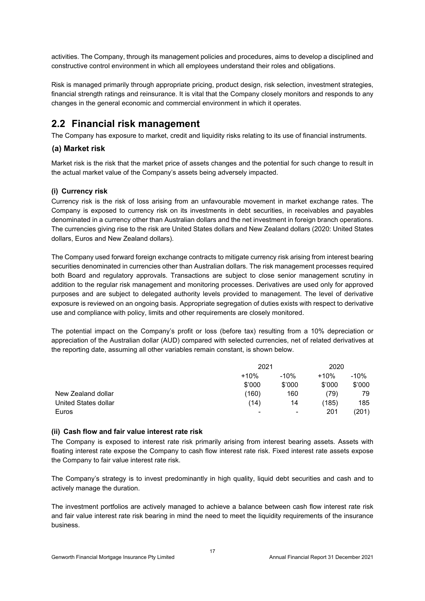activities. The Company, through its management policies and procedures, aims to develop a disciplined and constructive control environment in which all employees understand their roles and obligations.

Risk is managed primarily through appropriate pricing, product design, risk selection, investment strategies, financial strength ratings and reinsurance. It is vital that the Company closely monitors and responds to any changes in the general economic and commercial environment in which it operates.

### **2.2 Financial risk management**

The Company has exposure to market, credit and liquidity risks relating to its use of financial instruments.

#### **(a) Market risk**

Market risk is the risk that the market price of assets changes and the potential for such change to result in the actual market value of the Company's assets being adversely impacted.

#### **(i) Currency risk**

Currency risk is the risk of loss arising from an unfavourable movement in market exchange rates. The Company is exposed to currency risk on its investments in debt securities, in receivables and payables denominated in a currency other than Australian dollars and the net investment in foreign branch operations. The currencies giving rise to the risk are United States dollars and New Zealand dollars (2020: United States dollars, Euros and New Zealand dollars).

The Company used forward foreign exchange contracts to mitigate currency risk arising from interest bearing securities denominated in currencies other than Australian dollars. The risk management processes required both Board and regulatory approvals. Transactions are subject to close senior management scrutiny in addition to the regular risk management and monitoring processes. Derivatives are used only for approved purposes and are subject to delegated authority levels provided to management. The level of derivative exposure is reviewed on an ongoing basis. Appropriate segregation of duties exists with respect to derivative use and compliance with policy, limits and other requirements are closely monitored.

The potential impact on the Company's profit or loss (before tax) resulting from a 10% depreciation or appreciation of the Australian dollar (AUD) compared with selected currencies, net of related derivatives at the reporting date, assuming all other variables remain constant, is shown below.

|                      |                  | 2021                     |        | 2020   |
|----------------------|------------------|--------------------------|--------|--------|
|                      | $+10%$<br>$-10%$ |                          | $+10%$ | -10%   |
|                      | \$'000           | \$'000                   | \$'000 | \$'000 |
| New Zealand dollar   | (160)            | 160                      | 79)    | 79     |
| United States dollar | (14)             | 14                       | (185)  | 185    |
| Euros                | -                | $\overline{\phantom{0}}$ | 201    | (201)  |

#### **(ii) Cash flow and fair value interest rate risk**

The Company is exposed to interest rate risk primarily arising from interest bearing assets. Assets with floating interest rate expose the Company to cash flow interest rate risk. Fixed interest rate assets expose the Company to fair value interest rate risk.

The Company's strategy is to invest predominantly in high quality, liquid debt securities and cash and to actively manage the duration.

The investment portfolios are actively managed to achieve a balance between cash flow interest rate risk and fair value interest rate risk bearing in mind the need to meet the liquidity requirements of the insurance business.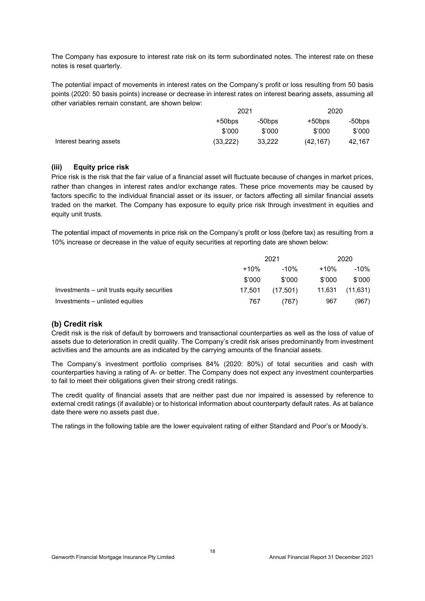The Company has exposure to interest rate risk on its term subordinated notes. The interest rate on these notes is reset quarterly.

The potential impact of movements in interest rates on the Company's profit or loss resulting from 50 basis points (2020: 50 basis points) increase or decrease in interest rates on interest bearing assets, assuming all other variables remain constant, are shown below:

|                         | 2021      |           |           | 2020   |
|-------------------------|-----------|-----------|-----------|--------|
|                         | $+50$ bps | $-50$ bps | +50bps    | -50bps |
|                         | \$'000    | \$'000    | \$'000    | \$'000 |
| Interest bearing assets | (33, 222) | 33.222    | (42, 167) | 42.167 |

#### **(iii) Equity price risk**

Price risk is the risk that the fair value of a financial asset will fluctuate because of changes in market prices, rather than changes in interest rates and/or exchange rates. These price movements may be caused by factors specific to the individual financial asset or its issuer, or factors affecting all similar financial assets traded on the market. The Company has exposure to equity price risk through investment in equities and equity unit trusts.

The potential impact of movements in price risk on the Company's profit or loss (before tax) as resulting from a 10% increase or decrease in the value of equity securities at reporting date are shown below:

|                                             | 2021   |          | 2020   |           |
|---------------------------------------------|--------|----------|--------|-----------|
|                                             | $+10%$ | $-10\%$  | $+10%$ | -10%      |
|                                             | \$'000 | \$'000   | \$'000 | \$'000    |
| Investments – unit trusts equity securities | 17.501 | (17.501) | 11,631 | (11, 631) |
| Investments – unlisted equities             | 767    | (767)    | 967    | (967)     |

#### **(b) Credit risk**

Credit risk is the risk of default by borrowers and transactional counterparties as well as the loss of value of assets due to deterioration in credit quality. The Company's credit risk arises predominantly from investment activities and the amounts are as indicated by the carrying amounts of the financial assets.

The Company's investment portfolio comprises 84% (2020: 80%) of total securities and cash with counterparties having a rating of A- or better. The Company does not expect any investment counterparties to fail to meet their obligations given their strong credit ratings.

The credit quality of financial assets that are neither past due nor impaired is assessed by reference to external credit ratings (if available) or to historical information about counterparty default rates. As at balance date there were no assets past due.

The ratings in the following table are the lower equivalent rating of either Standard and Poor's or Moody's.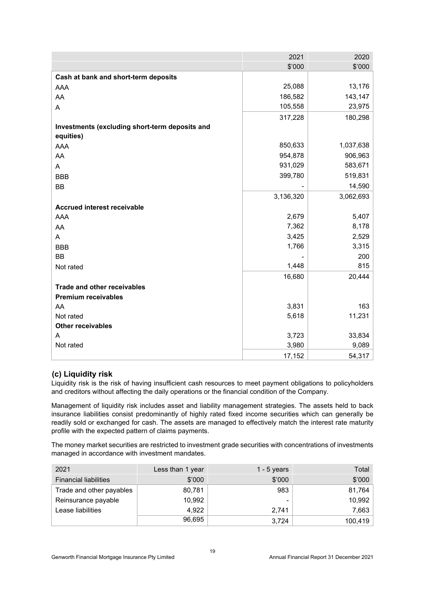|                                                | 2021      | 2020      |
|------------------------------------------------|-----------|-----------|
|                                                | \$'000    | \$'000    |
| Cash at bank and short-term deposits           |           |           |
| <b>AAA</b>                                     | 25,088    | 13,176    |
| AA                                             | 186,582   | 143,147   |
| A                                              | 105,558   | 23,975    |
|                                                | 317,228   | 180,298   |
| Investments (excluding short-term deposits and |           |           |
| equities)                                      |           |           |
| AAA                                            | 850,633   | 1,037,638 |
| AA                                             | 954,878   | 906,963   |
| A                                              | 931,029   | 583,671   |
| <b>BBB</b>                                     | 399,780   | 519,831   |
| <b>BB</b>                                      |           | 14,590    |
|                                                | 3,136,320 | 3,062,693 |
| <b>Accrued interest receivable</b>             |           |           |
| AAA                                            | 2,679     | 5,407     |
| AA                                             | 7,362     | 8,178     |
| A                                              | 3,425     | 2,529     |
| <b>BBB</b>                                     | 1,766     | 3,315     |
| <b>BB</b>                                      |           | 200       |
| Not rated                                      | 1,448     | 815       |
|                                                | 16,680    | 20,444    |
| <b>Trade and other receivables</b>             |           |           |
| <b>Premium receivables</b>                     |           |           |
| AA                                             | 3,831     | 163       |
| Not rated                                      | 5,618     | 11,231    |
| Other receivables                              |           |           |
| A                                              | 3,723     | 33,834    |
| Not rated                                      | 3,980     | 9,089     |
|                                                | 17,152    | 54,317    |

#### **(c) Liquidity risk**

Liquidity risk is the risk of having insufficient cash resources to meet payment obligations to policyholders and creditors without affecting the daily operations or the financial condition of the Company.

Management of liquidity risk includes asset and liability management strategies. The assets held to back insurance liabilities consist predominantly of highly rated fixed income securities which can generally be readily sold or exchanged for cash. The assets are managed to effectively match the interest rate maturity profile with the expected pattern of claims payments.

The money market securities are restricted to investment grade securities with concentrations of investments managed in accordance with investment mandates.

| 2021                         | Less than 1 year | 1 - 5 years | Total   |
|------------------------------|------------------|-------------|---------|
| <b>Financial liabilities</b> | \$'000           | \$'000      | \$'000  |
| Trade and other payables     | 80,781           | 983         | 81,764  |
| Reinsurance payable          | 10.992           | ۰           | 10,992  |
| Lease liabilities            | 4.922            | 2.741       | 7,663   |
|                              | 96.695           | 3.724       | 100,419 |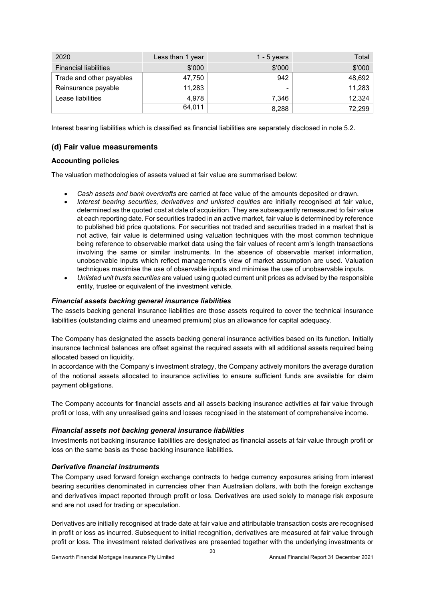| 2020                         | Less than 1 year | 1 - 5 years | Total  |
|------------------------------|------------------|-------------|--------|
| <b>Financial liabilities</b> | \$'000           | \$'000      | \$'000 |
| Trade and other payables     | 47,750           | 942         | 48,692 |
| Reinsurance payable          | 11,283           | -           | 11,283 |
| Lease liabilities            | 4.978            | 7,346       | 12,324 |
|                              | 64.011           | 8.288       | 72,299 |

Interest bearing liabilities which is classified as financial liabilities are separately disclosed in note 5.2.

#### **(d) Fair value measurements**

#### **Accounting policies**

The valuation methodologies of assets valued at fair value are summarised below:

- *Cash assets and bank overdrafts* are carried at face value of the amounts deposited or drawn.
- *Interest bearing securities, derivatives and unlisted equities* are initially recognised at fair value, determined as the quoted cost at date of acquisition. They are subsequently remeasured to fair value at each reporting date. For securities traded in an active market, fair value is determined by reference to published bid price quotations. For securities not traded and securities traded in a market that is not active, fair value is determined using valuation techniques with the most common technique being reference to observable market data using the fair values of recent arm's length transactions involving the same or similar instruments. In the absence of observable market information, unobservable inputs which reflect management's view of market assumption are used. Valuation techniques maximise the use of observable inputs and minimise the use of unobservable inputs.
- *Unlisted unit trusts securities* are valued using quoted current unit prices as advised by the responsible entity, trustee or equivalent of the investment vehicle*.*

#### *Financial assets backing general insurance liabilities*

The assets backing general insurance liabilities are those assets required to cover the technical insurance liabilities (outstanding claims and unearned premium) plus an allowance for capital adequacy.

The Company has designated the assets backing general insurance activities based on its function. Initially insurance technical balances are offset against the required assets with all additional assets required being allocated based on liquidity.

In accordance with the Company's investment strategy, the Company actively monitors the average duration of the notional assets allocated to insurance activities to ensure sufficient funds are available for claim payment obligations.

The Company accounts for financial assets and all assets backing insurance activities at fair value through profit or loss, with any unrealised gains and losses recognised in the statement of comprehensive income.

#### *Financial assets not backing general insurance liabilities*

Investments not backing insurance liabilities are designated as financial assets at fair value through profit or loss on the same basis as those backing insurance liabilities.

#### *Derivative financial instruments*

The Company used forward foreign exchange contracts to hedge currency exposures arising from interest bearing securities denominated in currencies other than Australian dollars, with both the foreign exchange and derivatives impact reported through profit or loss. Derivatives are used solely to manage risk exposure and are not used for trading or speculation.

Derivatives are initially recognised at trade date at fair value and attributable transaction costs are recognised in profit or loss as incurred. Subsequent to initial recognition, derivatives are measured at fair value through profit or loss. The investment related derivatives are presented together with the underlying investments or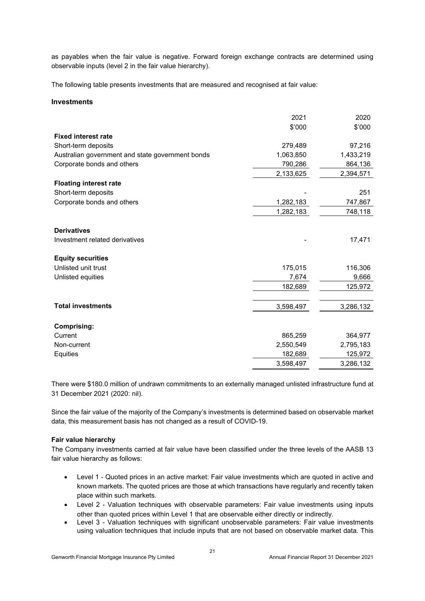as payables when the fair value is negative. Forward foreign exchange contracts are determined using observable inputs (level 2 in the fair value hierarchy).

The following table presents investments that are measured and recognised at fair value:

#### **Investments**

|                                                  | 2021      | 2020      |
|--------------------------------------------------|-----------|-----------|
|                                                  | \$'000    | \$'000    |
| <b>Fixed interest rate</b>                       |           |           |
| Short-term deposits                              | 279,489   | 97,216    |
| Australian government and state government bonds | 1,063,850 | 1,433,219 |
| Corporate bonds and others                       | 790,286   | 864,136   |
|                                                  | 2,133,625 | 2,394,571 |
| <b>Floating interest rate</b>                    |           |           |
| Short-term deposits                              |           | 251       |
| Corporate bonds and others                       | 1,282,183 | 747,867   |
|                                                  | 1,282,183 | 748,118   |
| <b>Derivatives</b>                               |           |           |
| Investment related derivatives                   |           | 17,471    |
| <b>Equity securities</b>                         |           |           |
| Unlisted unit trust                              | 175,015   | 116,306   |
| Unlisted equities                                | 7,674     | 9,666     |
|                                                  | 182,689   | 125,972   |
| <b>Total investments</b>                         | 3,598,497 | 3,286,132 |
| <b>Comprising:</b>                               |           |           |
| Current                                          | 865,259   | 364,977   |
| Non-current                                      | 2,550,549 | 2,795,183 |
| Equities                                         | 182,689   | 125,972   |
|                                                  | 3,598,497 | 3,286,132 |

There were \$180.0 million of undrawn commitments to an externally managed unlisted infrastructure fund at 31 December 2021 (2020: nil).

Since the fair value of the majority of the Company's investments is determined based on observable market data, this measurement basis has not changed as a result of COVID-19.

#### **Fair value hierarchy**

The Company investments carried at fair value have been classified under the three levels of the AASB 13 fair value hierarchy as follows:

- Level 1 Quoted prices in an active market: Fair value investments which are quoted in active and known markets. The quoted prices are those at which transactions have regularly and recently taken place within such markets.
- Level 2 Valuation techniques with observable parameters: Fair value investments using inputs other than quoted prices within Level 1 that are observable either directly or indirectly.
- Level 3 Valuation techniques with significant unobservable parameters: Fair value investments using valuation techniques that include inputs that are not based on observable market data. This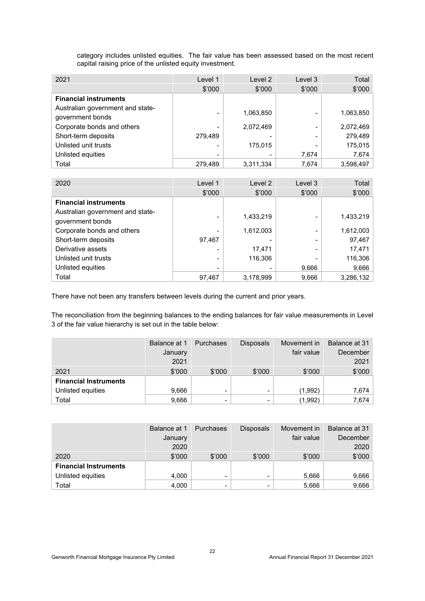category includes unlisted equities. The fair value has been assessed based on the most recent capital raising price of the unlisted equity investment.

| 2021                                                 | Level 1        | Level 2   | Level 3 | Total     |
|------------------------------------------------------|----------------|-----------|---------|-----------|
|                                                      | \$'000         | \$'000    | \$'000  | \$'000    |
| <b>Financial instruments</b>                         |                |           |         |           |
| Australian government and state-<br>government bonds | $\overline{a}$ | 1,063,850 | -       | 1,063,850 |
| Corporate bonds and others                           | -              | 2,072,469 |         | 2,072,469 |
| Short-term deposits                                  | 279,489        |           |         | 279,489   |
| Unlisted unit trusts                                 | -              | 175,015   |         | 175,015   |
| Unlisted equities                                    | -              |           | 7,674   | 7,674     |
| Total                                                | 279.489        | 3,311,334 | 7.674   | 3,598,497 |

| 2020                                                 | Level 1        | Level 2   | Level 3 | Total     |
|------------------------------------------------------|----------------|-----------|---------|-----------|
|                                                      | \$'000         | \$'000    | \$'000  | \$'000    |
| <b>Financial instruments</b>                         |                |           |         |           |
| Australian government and state-<br>government bonds |                | 1,433,219 |         | 1,433,219 |
| Corporate bonds and others                           |                | 1,612,003 |         | 1,612,003 |
| Short-term deposits                                  | 97,467         |           |         | 97,467    |
| Derivative assets                                    | $\overline{a}$ | 17,471    |         | 17,471    |
| Unlisted unit trusts                                 | -              | 116,306   |         | 116,306   |
| Unlisted equities                                    | $\overline{a}$ |           | 9,666   | 9,666     |
| Total                                                | 97.467         | 3,178,999 | 9,666   | 3,286,132 |

There have not been any transfers between levels during the current and prior years.

The reconciliation from the beginning balances to the ending balances for fair value measurements in Level 3 of the fair value hierarchy is set out in the table below:

|                              | Balance at 1 | <b>Purchases</b>         | <b>Disposals</b>         | Movement in | Balance at 31 |
|------------------------------|--------------|--------------------------|--------------------------|-------------|---------------|
|                              | January      |                          |                          | fair value  | December      |
|                              | 2021         |                          |                          |             | 2021          |
| 2021                         | \$'000       | \$'000                   | \$'000                   | \$'000      | \$'000        |
| <b>Financial Instruments</b> |              |                          |                          |             |               |
| Unlisted equities            | 9,666        | $\overline{\phantom{a}}$ | $\overline{\phantom{0}}$ | (1,992)     | 7,674         |
| Total                        | 9,666        | $\overline{\phantom{0}}$ | $\overline{\phantom{0}}$ | (1,992)     | 7,674         |

|                              | Balance at 1 | Purchases                | <b>Disposals</b>         | Movement in | Balance at 31 |
|------------------------------|--------------|--------------------------|--------------------------|-------------|---------------|
|                              | January      |                          |                          | fair value  | December      |
|                              | 2020         |                          |                          |             | 2020          |
| 2020                         | \$'000       | \$'000                   | \$'000                   | \$'000      | \$'000        |
| <b>Financial Instruments</b> |              |                          |                          |             |               |
| Unlisted equities            | 4,000        | $\overline{\phantom{a}}$ | $\overline{\phantom{0}}$ | 5,666       | 9,666         |
| Total                        | 4,000        | $\overline{\phantom{0}}$ | $\overline{\phantom{0}}$ | 5,666       | 9,666         |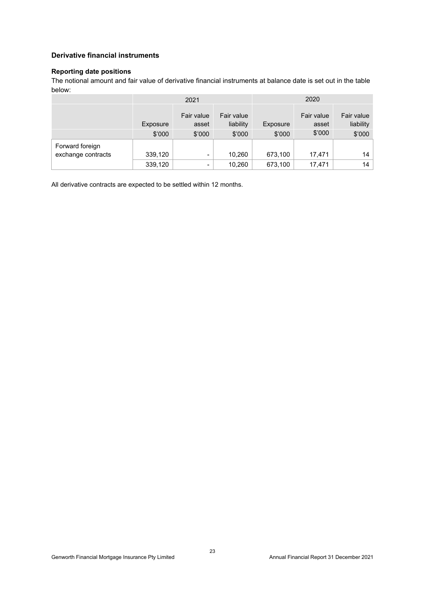#### **Derivative financial instruments**

#### **Reporting date positions**

The notional amount and fair value of derivative financial instruments at balance date is set out in the table below:

|                                       | 2021     |                          |                         |          | 2020                |                         |
|---------------------------------------|----------|--------------------------|-------------------------|----------|---------------------|-------------------------|
|                                       | Exposure | Fair value<br>asset      | Fair value<br>liability | Exposure | Fair value<br>asset | Fair value<br>liability |
|                                       | \$'000   | \$'000                   | \$'000                  | \$'000   | \$'000              | \$'000                  |
| Forward foreign<br>exchange contracts | 339,120  | $\overline{\phantom{a}}$ | 10,260                  | 673,100  | 17,471              | 14                      |
|                                       | 339,120  | $\overline{\phantom{a}}$ | 10,260                  | 673,100  | 17,471              | 14                      |

All derivative contracts are expected to be settled within 12 months.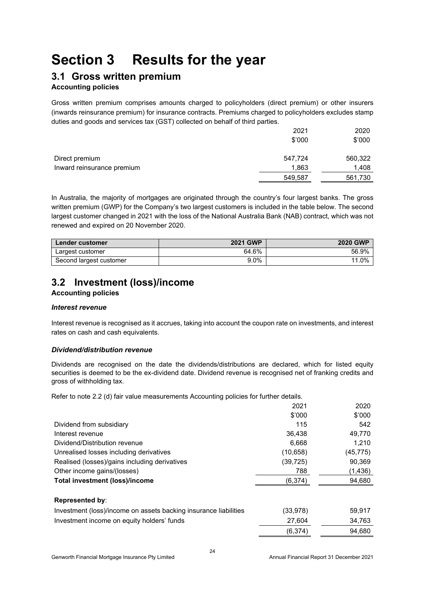## **Section 3 Results for the year**

### **3.1 Gross written premium**

#### **Accounting policies**

Gross written premium comprises amounts charged to policyholders (direct premium) or other insurers (inwards reinsurance premium) for insurance contracts. Premiums charged to policyholders excludes stamp duties and goods and services tax (GST) collected on behalf of third parties.

|                            | 2021    | 2020    |
|----------------------------|---------|---------|
|                            | \$'000  | \$'000  |
| Direct premium             | 547,724 | 560,322 |
| Inward reinsurance premium | 1,863   | 1,408   |
|                            | 549,587 | 561,730 |

In Australia, the majority of mortgages are originated through the country's four largest banks. The gross written premium (GWP) for the Company's two largest customers is included in the table below. The second largest customer changed in 2021 with the loss of the National Australia Bank (NAB) contract, which was not renewed and expired on 20 November 2020.

| <b>Lender customer</b>  | <b>2021 GWP</b> | <b>2020 GWP</b> |
|-------------------------|-----------------|-----------------|
| Largest customer        | 64.6%           | 56.9%           |
| Second largest customer | $9.0\%$         | 11.0%           |

## **3.2 Investment (loss)/income**

#### **Accounting policies**

#### *Interest revenue*

Interest revenue is recognised as it accrues, taking into account the coupon rate on investments, and interest rates on cash and cash equivalents.

#### *Dividend/distribution revenue*

Dividends are recognised on the date the dividends/distributions are declared, which for listed equity securities is deemed to be the ex-dividend date. Dividend revenue is recognised net of franking credits and gross of withholding tax.

Refer to note 2.2 (d) fair value measurements Accounting policies for further details.

|                                                                  | 2021     | 2020      |
|------------------------------------------------------------------|----------|-----------|
|                                                                  | \$'000   | \$'000    |
| Dividend from subsidiary                                         | 115      | 542       |
| Interest revenue                                                 | 36.438   | 49.770    |
| Dividend/Distribution revenue                                    | 6.668    | 1,210     |
| Unrealised losses including derivatives                          | (10,658) | (45, 775) |
| Realised (losses)/gains including derivatives                    | (39,725) | 90,369    |
| Other income gains/(losses)                                      | 788      | (1,436)   |
| Total investment (loss)/income                                   | (6, 374) | 94,680    |
| <b>Represented by:</b>                                           |          |           |
| Investment (loss)/income on assets backing insurance liabilities | (33,978) | 59,917    |
| Investment income on equity holders' funds                       | 27,604   | 34,763    |
|                                                                  | (6, 374) | 94,680    |
|                                                                  |          |           |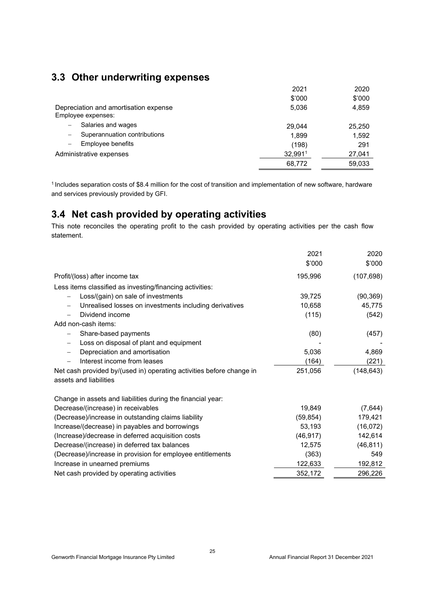## **3.3 Other underwriting expenses**

|         | 2020   |
|---------|--------|
| \$'000  | \$'000 |
| 5.036   | 4,859  |
| 29.044  | 25,250 |
| 1.899   | 1,592  |
| (198)   | 291    |
| 32,9911 | 27,041 |
| 68,772  | 59,033 |
|         | 2021   |

1 Includes separation costs of \$8.4 million for the cost of transition and implementation of new software, hardware and services previously provided by GFI.

## **3.4 Net cash provided by operating activities**

This note reconciles the operating profit to the cash provided by operating activities per the cash flow statement.

|                                                                                    | 2021      | 2020       |
|------------------------------------------------------------------------------------|-----------|------------|
|                                                                                    | \$'000    | \$'000     |
| Profit/(loss) after income tax                                                     | 195,996   | (107, 698) |
| Less items classified as investing/financing activities:                           |           |            |
| Loss/(gain) on sale of investments                                                 | 39,725    | (90, 369)  |
| Unrealised losses on investments including derivatives<br>$\overline{\phantom{0}}$ | 10,658    | 45,775     |
| Dividend income                                                                    | (115)     | (542)      |
| Add non-cash items:                                                                |           |            |
| Share-based payments                                                               | (80)      | (457)      |
| Loss on disposal of plant and equipment<br>$\overline{\phantom{0}}$                |           |            |
| Depreciation and amortisation<br>$\qquad \qquad -$                                 | 5,036     | 4,869      |
| Interest income from leases                                                        | (164)     | (221)      |
| Net cash provided by/(used in) operating activities before change in               | 251,056   | (148, 643) |
| assets and liabilities                                                             |           |            |
| Change in assets and liabilities during the financial year:                        |           |            |
| Decrease/(increase) in receivables                                                 | 19.849    | (7,644)    |
| (Decrease)/increase in outstanding claims liability                                | (59, 854) | 179,421    |
| Increase/(decrease) in payables and borrowings                                     | 53,193    | (16,072)   |
| (Increase)/decrease in deferred acquisition costs                                  | (46, 917) | 142,614    |
| Decrease/(increase) in deferred tax balances                                       | 12,575    | (46, 811)  |
| (Decrease)/increase in provision for employee entitlements                         | (363)     | 549        |
| Increase in unearned premiums                                                      | 122,633   | 192,812    |
| Net cash provided by operating activities                                          | 352,172   | 296,226    |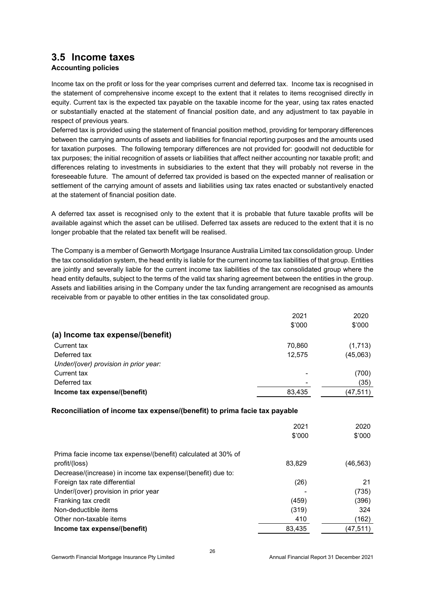### **3.5 Income taxes**

#### **Accounting policies**

Income tax on the profit or loss for the year comprises current and deferred tax. Income tax is recognised in the statement of comprehensive income except to the extent that it relates to items recognised directly in equity. Current tax is the expected tax payable on the taxable income for the year, using tax rates enacted or substantially enacted at the statement of financial position date, and any adjustment to tax payable in respect of previous years.

Deferred tax is provided using the statement of financial position method, providing for temporary differences between the carrying amounts of assets and liabilities for financial reporting purposes and the amounts used for taxation purposes. The following temporary differences are not provided for: goodwill not deductible for tax purposes; the initial recognition of assets or liabilities that affect neither accounting nor taxable profit; and differences relating to investments in subsidiaries to the extent that they will probably not reverse in the foreseeable future. The amount of deferred tax provided is based on the expected manner of realisation or settlement of the carrying amount of assets and liabilities using tax rates enacted or substantively enacted at the statement of financial position date.

A deferred tax asset is recognised only to the extent that it is probable that future taxable profits will be available against which the asset can be utilised. Deferred tax assets are reduced to the extent that it is no longer probable that the related tax benefit will be realised.

The Company is a member of Genworth Mortgage Insurance Australia Limited tax consolidation group. Under the tax consolidation system, the head entity is liable for the current income tax liabilities of that group. Entities are jointly and severally liable for the current income tax liabilities of the tax consolidated group where the head entity defaults, subject to the terms of the valid tax sharing agreement between the entities in the group. Assets and liabilities arising in the Company under the tax funding arrangement are recognised as amounts receivable from or payable to other entities in the tax consolidated group.

|                                       | 2021   | 2020      |
|---------------------------------------|--------|-----------|
|                                       | \$'000 | \$'000    |
| (a) Income tax expense/(benefit)      |        |           |
| Current tax                           | 70,860 | (1,713)   |
| Deferred tax                          | 12,575 | (45,063)  |
| Under/(over) provision in prior year: |        |           |
| Current tax                           |        | (700)     |
| Deferred tax                          |        | (35)      |
| Income tax expense/(benefit)          | 83,435 | (47, 511) |

#### **Reconciliation of income tax expense/(benefit) to prima facie tax payable**

|                                                               | 2021<br>\$'000 | 2020<br>\$'000 |
|---------------------------------------------------------------|----------------|----------------|
| Prima facie income tax expense/(benefit) calculated at 30% of |                |                |
| profit/(loss)                                                 | 83.829         | (46,563)       |
| Decrease/(increase) in income tax expense/(benefit) due to:   |                |                |
| Foreign tax rate differential                                 | (26)           | 21             |
| Under/(over) provision in prior year                          |                | (735)          |
| Franking tax credit                                           | (459)          | (396)          |
| Non-deductible items                                          | (319)          | 324            |
| Other non-taxable items                                       | 410            | (162)          |
| Income tax expense/(benefit)                                  | 83.435         | (47,511)       |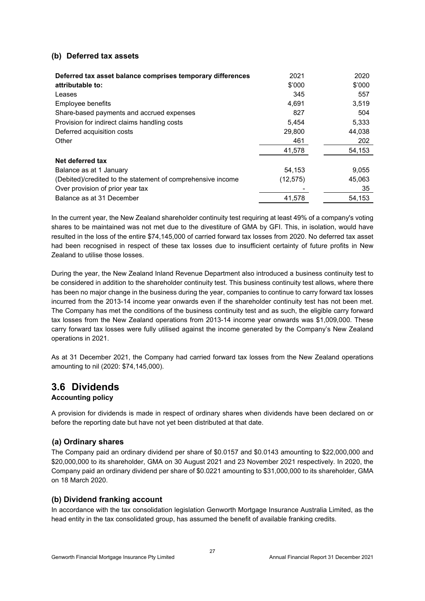#### **(b) Deferred tax assets**

| Deferred tax asset balance comprises temporary differences  | 2021     | 2020   |
|-------------------------------------------------------------|----------|--------|
| attributable to:                                            | \$'000   | \$'000 |
| Leases                                                      | 345      | 557    |
| Employee benefits                                           | 4.691    | 3,519  |
| Share-based payments and accrued expenses                   | 827      | 504    |
| Provision for indirect claims handling costs                | 5.454    | 5,333  |
| Deferred acquisition costs                                  | 29,800   | 44,038 |
| Other                                                       | 461      | 202    |
|                                                             | 41,578   | 54,153 |
| Net deferred tax                                            |          |        |
| Balance as at 1 January                                     | 54,153   | 9,055  |
| (Debited)/credited to the statement of comprehensive income | (12,575) | 45,063 |
| Over provision of prior year tax                            |          | 35     |
| Balance as at 31 December                                   | 41,578   | 54.153 |

In the current year, the New Zealand shareholder continuity test requiring at least 49% of a company's voting shares to be maintained was not met due to the divestiture of GMA by GFI. This, in isolation, would have resulted in the loss of the entire \$74,145,000 of carried forward tax losses from 2020. No deferred tax asset had been recognised in respect of these tax losses due to insufficient certainty of future profits in New Zealand to utilise those losses.

During the year, the New Zealand Inland Revenue Department also introduced a business continuity test to be considered in addition to the shareholder continuity test. This business continuity test allows, where there has been no major change in the business during the year, companies to continue to carry forward tax losses incurred from the 2013-14 income year onwards even if the shareholder continuity test has not been met. The Company has met the conditions of the business continuity test and as such, the eligible carry forward tax losses from the New Zealand operations from 2013-14 income year onwards was \$1,009,000. These carry forward tax losses were fully utilised against the income generated by the Company's New Zealand operations in 2021.

As at 31 December 2021, the Company had carried forward tax losses from the New Zealand operations amounting to nil (2020: \$74,145,000).

### **3.6 Dividends**

#### **Accounting policy**

A provision for dividends is made in respect of ordinary shares when dividends have been declared on or before the reporting date but have not yet been distributed at that date.

#### **(a) Ordinary shares**

The Company paid an ordinary dividend per share of \$0.0157 and \$0.0143 amounting to \$22,000,000 and \$20,000,000 to its shareholder, GMA on 30 August 2021 and 23 November 2021 respectively. In 2020, the Company paid an ordinary dividend per share of \$0.0221 amounting to \$31,000,000 to its shareholder, GMA on 18 March 2020.

#### **(b) Dividend franking account**

In accordance with the tax consolidation legislation Genworth Mortgage Insurance Australia Limited, as the head entity in the tax consolidated group, has assumed the benefit of available franking credits.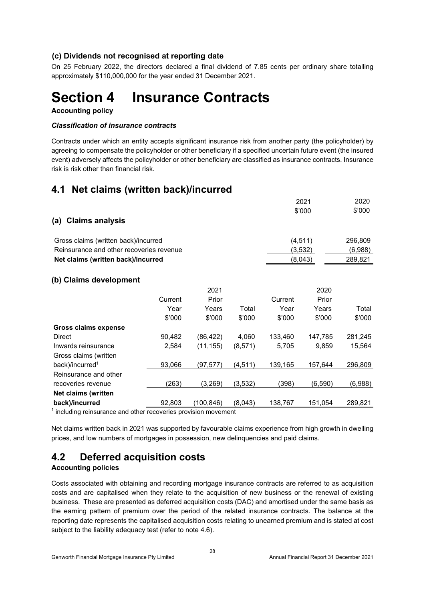#### **(c) Dividends not recognised at reporting date**

On 25 February 2022, the directors declared a final dividend of 7.85 cents per ordinary share totalling approximately \$110,000,000 for the year ended 31 December 2021.

## **Section 4 Insurance Contracts**

**Accounting policy** 

#### *Classification of insurance contracts*

Contracts under which an entity accepts significant insurance risk from another party (the policyholder) by agreeing to compensate the policyholder or other beneficiary if a specified uncertain future event (the insured event) adversely affects the policyholder or other beneficiary are classified as insurance contracts. Insurance risk is risk other than financial risk.

## **4.1 Net claims (written back)/incurred**

| \$'000<br>\$'000<br><b>Claims analysis</b><br>(a)<br>(4, 511)<br>296,809<br>Gross claims (written back)/incurred<br>Reinsurance and other recoveries revenue<br>(3, 532)<br>(6,988)<br>(8,043)<br>289,821<br>Net claims (written back)/incurred<br>(b) Claims development<br>2021<br>2020<br>Current<br>Prior<br>Prior<br>Current<br>Total<br>Year<br>Years<br>Total<br>Year<br>Years<br>\$'000<br>\$'000<br>\$'000<br>\$'000<br>\$'000<br>\$'000<br><b>Gross claims expense</b><br>90,482<br>(86, 422)<br>4,060<br>133,460<br>Direct<br>147,785<br>281,245<br>Inwards reinsurance<br>5,705<br>9,859<br>2,584<br>(11,155)<br>(8,571)<br>15,564 |
|------------------------------------------------------------------------------------------------------------------------------------------------------------------------------------------------------------------------------------------------------------------------------------------------------------------------------------------------------------------------------------------------------------------------------------------------------------------------------------------------------------------------------------------------------------------------------------------------------------------------------------------------|
|                                                                                                                                                                                                                                                                                                                                                                                                                                                                                                                                                                                                                                                |
|                                                                                                                                                                                                                                                                                                                                                                                                                                                                                                                                                                                                                                                |
|                                                                                                                                                                                                                                                                                                                                                                                                                                                                                                                                                                                                                                                |
|                                                                                                                                                                                                                                                                                                                                                                                                                                                                                                                                                                                                                                                |
|                                                                                                                                                                                                                                                                                                                                                                                                                                                                                                                                                                                                                                                |
|                                                                                                                                                                                                                                                                                                                                                                                                                                                                                                                                                                                                                                                |
|                                                                                                                                                                                                                                                                                                                                                                                                                                                                                                                                                                                                                                                |
|                                                                                                                                                                                                                                                                                                                                                                                                                                                                                                                                                                                                                                                |
|                                                                                                                                                                                                                                                                                                                                                                                                                                                                                                                                                                                                                                                |
|                                                                                                                                                                                                                                                                                                                                                                                                                                                                                                                                                                                                                                                |
|                                                                                                                                                                                                                                                                                                                                                                                                                                                                                                                                                                                                                                                |
|                                                                                                                                                                                                                                                                                                                                                                                                                                                                                                                                                                                                                                                |
|                                                                                                                                                                                                                                                                                                                                                                                                                                                                                                                                                                                                                                                |
|                                                                                                                                                                                                                                                                                                                                                                                                                                                                                                                                                                                                                                                |
| Gross claims (written                                                                                                                                                                                                                                                                                                                                                                                                                                                                                                                                                                                                                          |
| back)/incurred <sup>1</sup><br>93,066<br>(97, 577)<br>139,165<br>296,809<br>(4,511)<br>157,644                                                                                                                                                                                                                                                                                                                                                                                                                                                                                                                                                 |
| Reinsurance and other                                                                                                                                                                                                                                                                                                                                                                                                                                                                                                                                                                                                                          |
| (263)<br>(3,269)<br>(3, 532)<br>(398)<br>(6, 590)<br>(6,988)<br>recoveries revenue                                                                                                                                                                                                                                                                                                                                                                                                                                                                                                                                                             |
| Net claims (written                                                                                                                                                                                                                                                                                                                                                                                                                                                                                                                                                                                                                            |
| back)/incurred<br>92,803<br>(100, 846)<br>(8,043)<br>138,767<br>289,821<br>151,054                                                                                                                                                                                                                                                                                                                                                                                                                                                                                                                                                             |

<sup>1</sup> including reinsurance and other recoveries provision movement

Net claims written back in 2021 was supported by favourable claims experience from high growth in dwelling prices, and low numbers of mortgages in possession, new delinquencies and paid claims.

## **4.2 Deferred acquisition costs**

#### **Accounting policies**

Costs associated with obtaining and recording mortgage insurance contracts are referred to as acquisition costs and are capitalised when they relate to the acquisition of new business or the renewal of existing business. These are presented as deferred acquisition costs (DAC) and amortised under the same basis as the earning pattern of premium over the period of the related insurance contracts. The balance at the reporting date represents the capitalised acquisition costs relating to unearned premium and is stated at cost subject to the liability adequacy test (refer to note 4.6).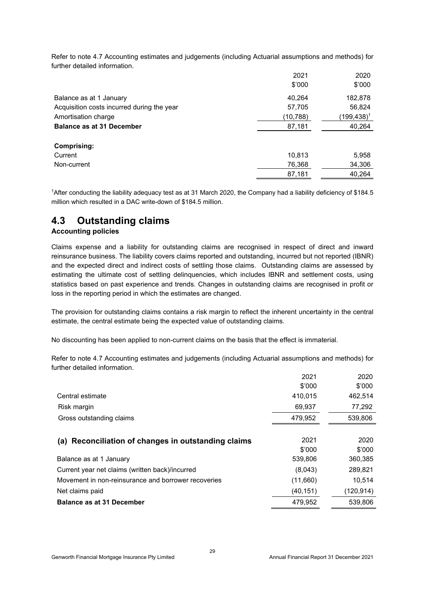Refer to note 4.7 Accounting estimates and judgements (including Actuarial assumptions and methods) for further detailed information.

|                                            | 2021      | 2020           |
|--------------------------------------------|-----------|----------------|
|                                            | \$'000    | \$'000         |
| Balance as at 1 January                    | 40,264    | 182,878        |
| Acquisition costs incurred during the year | 57,705    | 56,824         |
| Amortisation charge                        | (10, 788) | $(199, 438)^1$ |
| <b>Balance as at 31 December</b>           | 87,181    | 40,264         |
| Comprising:                                |           |                |
| Current                                    | 10,813    | 5,958          |
| Non-current                                | 76,368    | 34,306         |
|                                            | 87,181    | 40,264         |

1After conducting the liability adequacy test as at 31 March 2020, the Company had a liability deficiency of \$184.5 million which resulted in a DAC write-down of \$184.5 million.

### **4.3 Outstanding claims**

#### **Accounting policies**

Claims expense and a liability for outstanding claims are recognised in respect of direct and inward reinsurance business. The liability covers claims reported and outstanding, incurred but not reported (IBNR) and the expected direct and indirect costs of settling those claims. Outstanding claims are assessed by estimating the ultimate cost of settling delinquencies, which includes IBNR and settlement costs, using statistics based on past experience and trends. Changes in outstanding claims are recognised in profit or loss in the reporting period in which the estimates are changed.

The provision for outstanding claims contains a risk margin to reflect the inherent uncertainty in the central estimate, the central estimate being the expected value of outstanding claims.

No discounting has been applied to non-current claims on the basis that the effect is immaterial.

Refer to note 4.7 Accounting estimates and judgements (including Actuarial assumptions and methods) for further detailed information.

|                                                        | 2021      | 2020      |
|--------------------------------------------------------|-----------|-----------|
|                                                        | \$'000    | \$'000    |
| Central estimate                                       | 410,015   | 462,514   |
| Risk margin                                            | 69,937    | 77,292    |
| Gross outstanding claims                               | 479,952   | 539,806   |
|                                                        |           |           |
| Reconciliation of changes in outstanding claims<br>(a) | 2021      | 2020      |
|                                                        | \$'000    | \$'000    |
| Balance as at 1 January                                | 539,806   | 360,385   |
| Current year net claims (written back)/incurred        | (8,043)   | 289,821   |
| Movement in non-reinsurance and borrower recoveries    | (11,660)  | 10,514    |
| Net claims paid                                        | (40, 151) | (120,914) |
| <b>Balance as at 31 December</b>                       | 479,952   | 539,806   |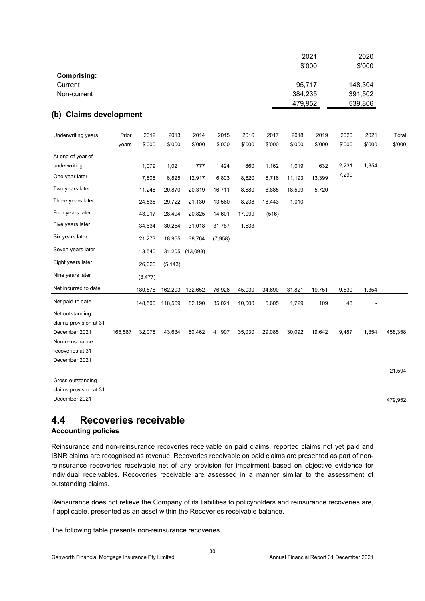|                                   |         |          |          |          |         |        |        |         | 2021   |        | 2020    |         |
|-----------------------------------|---------|----------|----------|----------|---------|--------|--------|---------|--------|--------|---------|---------|
| <b>Comprising:</b>                |         |          |          |          |         |        |        |         | \$'000 |        | \$'000  |         |
| Current                           |         |          |          |          |         |        |        | 95,717  |        |        | 148,304 |         |
| Non-current                       |         |          |          |          |         |        |        | 384,235 |        |        | 391,502 |         |
|                                   |         |          |          |          |         |        |        | 479,952 |        |        | 539,806 |         |
| (b) Claims development            |         |          |          |          |         |        |        |         |        |        |         |         |
| Underwriting years                | Prior   | 2012     | 2013     | 2014     | 2015    | 2016   | 2017   | 2018    | 2019   | 2020   | 2021    | Total   |
|                                   | years   | \$'000   | \$'000   | \$'000   | \$'000  | \$'000 | \$'000 | \$'000  | \$'000 | \$'000 | \$'000  | \$'000  |
| At end of year of                 |         |          |          |          |         |        |        |         |        |        |         |         |
| underwriting                      |         | 1,079    | 1,021    | 777      | 1,424   | 860    | 1,162  | 1,019   | 632    | 2,231  | 1,354   |         |
| One year later                    |         | 7,805    | 6,825    | 12,917   | 6,803   | 8,620  | 6,716  | 11,193  | 13,399 | 7,299  |         |         |
| Two years later                   |         | 11,246   | 20,870   | 20,319   | 16,711  | 8,680  | 8,885  | 18,599  | 5,720  |        |         |         |
| Three years later                 |         | 24,535   | 29,722   | 21,130   | 13,560  | 8,238  | 18,443 | 1,010   |        |        |         |         |
| Four years later                  |         | 43,917   | 28,494   | 20,825   | 14,601  | 17,099 | (516)  |         |        |        |         |         |
| Five years later                  |         | 34,634   | 30,254   | 31,018   | 31,787  | 1,533  |        |         |        |        |         |         |
| Six years later                   |         | 21,273   | 18,955   | 38,764   | (7,958) |        |        |         |        |        |         |         |
| Seven years later                 |         | 13,540   | 31,205   | (13,098) |         |        |        |         |        |        |         |         |
| Eight years later                 |         | 26,026   | (5, 143) |          |         |        |        |         |        |        |         |         |
| Nine years later                  |         | (3, 477) |          |          |         |        |        |         |        |        |         |         |
| Net incurred to date              |         | 180,578  | 162,203  | 132,652  | 76,928  | 45,030 | 34,690 | 31,821  | 19,751 | 9,530  | 1,354   |         |
| Net paid to date                  |         | 148,500  | 118,569  | 82,190   | 35,021  | 10,000 | 5,605  | 1,729   | 109    | 43     |         |         |
| Net outstanding                   |         |          |          |          |         |        |        |         |        |        |         |         |
| claims provision at 31            |         |          |          |          |         |        |        |         |        |        |         |         |
| December 2021                     | 165,587 | 32,078   | 43,634   | 50,462   | 41,907  | 35,030 | 29,085 | 30,092  | 19,642 | 9,487  | 1,354   | 458,358 |
| Non-reinsurance                   |         |          |          |          |         |        |        |         |        |        |         |         |
| recoveries at 31<br>December 2021 |         |          |          |          |         |        |        |         |        |        |         |         |
|                                   |         |          |          |          |         |        |        |         |        |        |         | 21,594  |
| Gross outstanding                 |         |          |          |          |         |        |        |         |        |        |         |         |
| claims provision at 31            |         |          |          |          |         |        |        |         |        |        |         |         |
| December 2021                     |         |          |          |          |         |        |        |         |        |        |         | 479,952 |

## **4.4 Recoveries receivable**

#### **Accounting policies**

Reinsurance and non-reinsurance recoveries receivable on paid claims, reported claims not yet paid and IBNR claims are recognised as revenue. Recoveries receivable on paid claims are presented as part of nonreinsurance recoveries receivable net of any provision for impairment based on objective evidence for individual receivables. Recoveries receivable are assessed in a manner similar to the assessment of outstanding claims.

Reinsurance does not relieve the Company of its liabilities to policyholders and reinsurance recoveries are, if applicable, presented as an asset within the Recoveries receivable balance.

The following table presents non-reinsurance recoveries.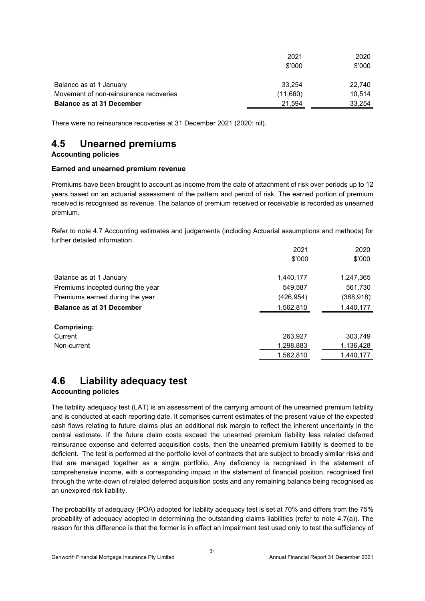|                                        | 2021     | 2020   |
|----------------------------------------|----------|--------|
|                                        | \$'000   | \$'000 |
| Balance as at 1 January                | 33.254   | 22.740 |
| Movement of non-reinsurance recoveries | (11,660) | 10.514 |
| <b>Balance as at 31 December</b>       | 21.594   | 33.254 |

There were no reinsurance recoveries at 31 December 2021 (2020: nil).

## **4.5 Unearned premiums**

#### **Accounting policies**

#### **Earned and unearned premium revenue**

Premiums have been brought to account as income from the date of attachment of risk over periods up to 12 years based on an actuarial assessment of the pattern and period of risk. The earned portion of premium received is recognised as revenue. The balance of premium received or receivable is recorded as unearned premium.

Refer to note 4.7 Accounting estimates and judgements (including Actuarial assumptions and methods) for further detailed information.

|                                   | 2021       | 2020       |
|-----------------------------------|------------|------------|
|                                   | \$'000     | \$'000     |
| Balance as at 1 January           | 1,440,177  | 1,247,365  |
| Premiums incepted during the year | 549,587    | 561,730    |
| Premiums earned during the year   | (426, 954) | (368, 918) |
| <b>Balance as at 31 December</b>  | 1,562,810  | 1,440,177  |
|                                   |            |            |
| Comprising:                       |            |            |
| Current                           | 263,927    | 303,749    |
| Non-current                       | 1,298,883  | 1,136,428  |
|                                   | 1,562,810  | 1,440,177  |
|                                   |            |            |

## **4.6 Liability adequacy test**

#### **Accounting policies**

The liability adequacy test (LAT) is an assessment of the carrying amount of the unearned premium liability and is conducted at each reporting date. It comprises current estimates of the present value of the expected cash flows relating to future claims plus an additional risk margin to reflect the inherent uncertainty in the central estimate. If the future claim costs exceed the unearned premium liability less related deferred reinsurance expense and deferred acquisition costs, then the unearned premium liability is deemed to be deficient. The test is performed at the portfolio level of contracts that are subject to broadly similar risks and that are managed together as a single portfolio. Any deficiency is recognised in the statement of comprehensive income, with a corresponding impact in the statement of financial position, recognised first through the write-down of related deferred acquisition costs and any remaining balance being recognised as an unexpired risk liability.

The probability of adequacy (POA) adopted for liability adequacy test is set at 70% and differs from the 75% probability of adequacy adopted in determining the outstanding claims liabilities (refer to note 4.7(a)). The reason for this difference is that the former is in effect an impairment test used only to test the sufficiency of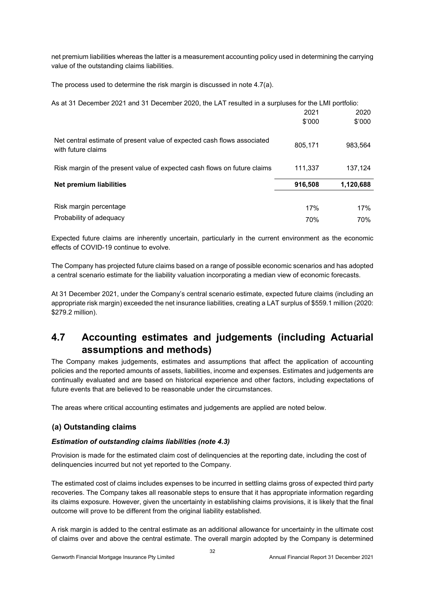net premium liabilities whereas the latter is a measurement accounting policy used in determining the carrying value of the outstanding claims liabilities.

The process used to determine the risk margin is discussed in note 4.7(a).

As at 31 December 2021 and 31 December 2020, the LAT resulted in a surpluses for the LMI portfolio:

|                                                                                               | 2021<br>\$'000 | 2020<br>\$'000 |
|-----------------------------------------------------------------------------------------------|----------------|----------------|
| Net central estimate of present value of expected cash flows associated<br>with future claims | 805,171        | 983,564        |
| Risk margin of the present value of expected cash flows on future claims                      | 111.337        | 137.124        |
| <b>Net premium liabilities</b>                                                                | 916,508        | 1,120,688      |
|                                                                                               |                |                |
| Risk margin percentage                                                                        | 17%            | 17%            |
| Probability of adequacy                                                                       | 70%            | 70%            |

Expected future claims are inherently uncertain, particularly in the current environment as the economic effects of COVID-19 continue to evolve.

The Company has projected future claims based on a range of possible economic scenarios and has adopted a central scenario estimate for the liability valuation incorporating a median view of economic forecasts.

At 31 December 2021, under the Company's central scenario estimate, expected future claims (including an appropriate risk margin) exceeded the net insurance liabilities, creating a LAT surplus of \$559.1 million (2020: \$279.2 million).

## **4.7 Accounting estimates and judgements (including Actuarial assumptions and methods)**

The Company makes judgements, estimates and assumptions that affect the application of accounting policies and the reported amounts of assets, liabilities, income and expenses. Estimates and judgements are continually evaluated and are based on historical experience and other factors, including expectations of future events that are believed to be reasonable under the circumstances.

The areas where critical accounting estimates and judgements are applied are noted below.

#### **(a) Outstanding claims**

#### *Estimation of outstanding claims liabilities (note 4.3)*

Provision is made for the estimated claim cost of delinquencies at the reporting date, including the cost of delinquencies incurred but not yet reported to the Company.

The estimated cost of claims includes expenses to be incurred in settling claims gross of expected third party recoveries. The Company takes all reasonable steps to ensure that it has appropriate information regarding its claims exposure. However, given the uncertainty in establishing claims provisions, it is likely that the final outcome will prove to be different from the original liability established.

A risk margin is added to the central estimate as an additional allowance for uncertainty in the ultimate cost of claims over and above the central estimate. The overall margin adopted by the Company is determined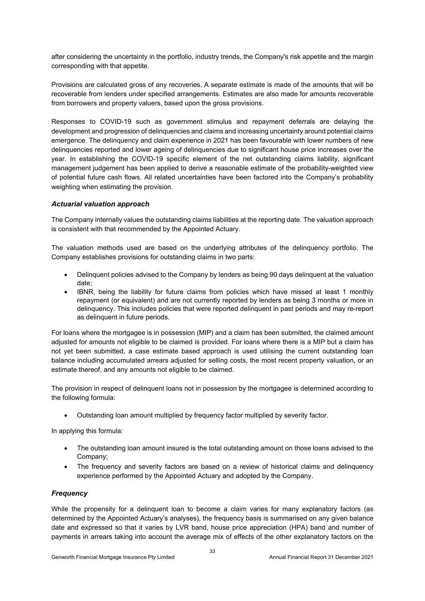after considering the uncertainty in the portfolio, industry trends, the Company's risk appetite and the margin corresponding with that appetite.

Provisions are calculated gross of any recoveries. A separate estimate is made of the amounts that will be recoverable from lenders under specified arrangements. Estimates are also made for amounts recoverable from borrowers and property valuers, based upon the gross provisions.

Responses to COVID-19 such as government stimulus and repayment deferrals are delaying the development and progression of delinquencies and claims and increasing uncertainty around potential claims emergence. The delinquency and claim experience in 2021 has been favourable with lower numbers of new delinquencies reported and lower ageing of delinquencies due to significant house price increases over the year. In establishing the COVID-19 specific element of the net outstanding claims liability, significant management judgement has been applied to derive a reasonable estimate of the probability-weighted view of potential future cash flows. All related uncertainties have been factored into the Company's probability weighting when estimating the provision.

#### *Actuarial valuation approach*

The Company internally values the outstanding claims liabilities at the reporting date. The valuation approach is consistent with that recommended by the Appointed Actuary.

The valuation methods used are based on the underlying attributes of the delinquency portfolio. The Company establishes provisions for outstanding claims in two parts:

- Delinquent policies advised to the Company by lenders as being 90 days delinquent at the valuation date;
- IBNR, being the liability for future claims from policies which have missed at least 1 monthly repayment (or equivalent) and are not currently reported by lenders as being 3 months or more in delinquency. This includes policies that were reported delinquent in past periods and may re-report as delinquent in future periods.

For loans where the mortgagee is in possession (MIP) and a claim has been submitted, the claimed amount adjusted for amounts not eligible to be claimed is provided. For loans where there is a MIP but a claim has not yet been submitted, a case estimate based approach is used utilising the current outstanding loan balance including accumulated arrears adjusted for selling costs, the most recent property valuation, or an estimate thereof, and any amounts not eligible to be claimed.

The provision in respect of delinquent loans not in possession by the mortgagee is determined according to the following formula:

Outstanding loan amount multiplied by frequency factor multiplied by severity factor.

In applying this formula:

- The outstanding loan amount insured is the total outstanding amount on those loans advised to the Company;
- The frequency and severity factors are based on a review of historical claims and delinquency experience performed by the Appointed Actuary and adopted by the Company.

#### *Frequency*

While the propensity for a delinquent loan to become a claim varies for many explanatory factors (as determined by the Appointed Actuary's analyses), the frequency basis is summarised on any given balance date and expressed so that it varies by LVR band, house price appreciation (HPA) band and number of payments in arrears taking into account the average mix of effects of the other explanatory factors on the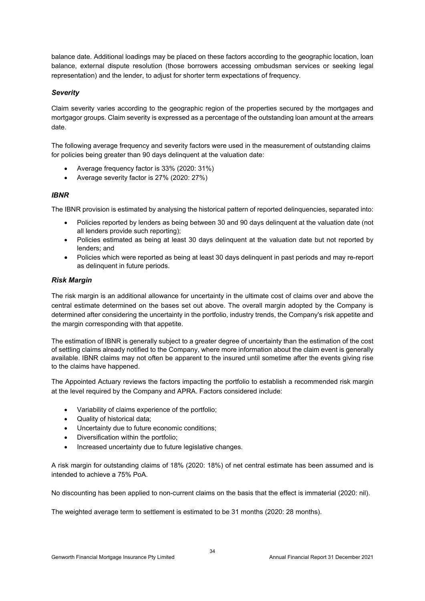balance date. Additional loadings may be placed on these factors according to the geographic location, loan balance, external dispute resolution (those borrowers accessing ombudsman services or seeking legal representation) and the lender, to adjust for shorter term expectations of frequency.

#### *Severity*

Claim severity varies according to the geographic region of the properties secured by the mortgages and mortgagor groups. Claim severity is expressed as a percentage of the outstanding loan amount at the arrears date.

The following average frequency and severity factors were used in the measurement of outstanding claims for policies being greater than 90 days delinquent at the valuation date:

- Average frequency factor is 33% (2020: 31%)
- Average severity factor is 27% (2020: 27%)

#### *IBNR*

The IBNR provision is estimated by analysing the historical pattern of reported delinquencies, separated into:

- Policies reported by lenders as being between 30 and 90 days delinquent at the valuation date (not all lenders provide such reporting);
- Policies estimated as being at least 30 days delinquent at the valuation date but not reported by lenders; and
- Policies which were reported as being at least 30 days delinquent in past periods and may re-report as delinquent in future periods.

#### *Risk Margin*

The risk margin is an additional allowance for uncertainty in the ultimate cost of claims over and above the central estimate determined on the bases set out above. The overall margin adopted by the Company is determined after considering the uncertainty in the portfolio, industry trends, the Company's risk appetite and the margin corresponding with that appetite.

The estimation of IBNR is generally subject to a greater degree of uncertainty than the estimation of the cost of settling claims already notified to the Company, where more information about the claim event is generally available. IBNR claims may not often be apparent to the insured until sometime after the events giving rise to the claims have happened.

The Appointed Actuary reviews the factors impacting the portfolio to establish a recommended risk margin at the level required by the Company and APRA. Factors considered include:

- Variability of claims experience of the portfolio;
- Quality of historical data;
- Uncertainty due to future economic conditions;
- Diversification within the portfolio;
- Increased uncertainty due to future legislative changes.

A risk margin for outstanding claims of 18% (2020: 18%) of net central estimate has been assumed and is intended to achieve a 75% PoA.

No discounting has been applied to non-current claims on the basis that the effect is immaterial (2020: nil).

The weighted average term to settlement is estimated to be 31 months (2020: 28 months).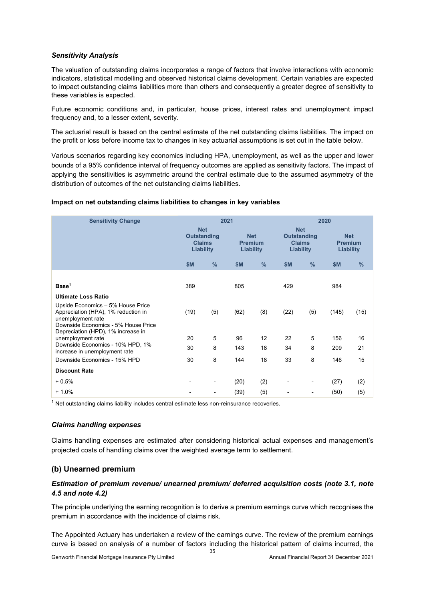#### *Sensitivity Analysis*

The valuation of outstanding claims incorporates a range of factors that involve interactions with economic indicators, statistical modelling and observed historical claims development. Certain variables are expected to impact outstanding claims liabilities more than others and consequently a greater degree of sensitivity to these variables is expected.

Future economic conditions and, in particular, house prices, interest rates and unemployment impact frequency and, to a lesser extent, severity.

The actuarial result is based on the central estimate of the net outstanding claims liabilities. The impact on the profit or loss before income tax to changes in key actuarial assumptions is set out in the table below.

Various scenarios regarding key economics including HPA, unemployment, as well as the upper and lower bounds of a 95% confidence interval of frequency outcomes are applied as sensitivity factors. The impact of applying the sensitivities is asymmetric around the central estimate due to the assumed asymmetry of the distribution of outcomes of the net outstanding claims liabilities.

#### **Impact on net outstanding claims liabilities to changes in key variables**

| <b>Sensitivity Change</b>                                                                                                                                                  |                                                                |               | 2021                                      |               | 2020                                                           |      |                                           |               |
|----------------------------------------------------------------------------------------------------------------------------------------------------------------------------|----------------------------------------------------------------|---------------|-------------------------------------------|---------------|----------------------------------------------------------------|------|-------------------------------------------|---------------|
|                                                                                                                                                                            | <b>Net</b><br><b>Outstanding</b><br><b>Claims</b><br>Liability |               | <b>Net</b><br><b>Premium</b><br>Liability |               | <b>Net</b><br><b>Outstanding</b><br><b>Claims</b><br>Liability |      | <b>Net</b><br><b>Premium</b><br>Liability |               |
|                                                                                                                                                                            | \$M                                                            | $\frac{9}{6}$ | \$M                                       | $\frac{9}{6}$ | <b>\$M</b>                                                     | $\%$ | <b>\$M</b>                                | $\frac{0}{0}$ |
| Base <sup>1</sup>                                                                                                                                                          | 389                                                            |               | 805                                       |               | 429                                                            |      | 984                                       |               |
| <b>Ultimate Loss Ratio</b>                                                                                                                                                 |                                                                |               |                                           |               |                                                                |      |                                           |               |
| Upside Economics - 5% House Price<br>Appreciation (HPA), 1% reduction in<br>unemployment rate<br>Downside Economics - 5% House Price<br>Depreciation (HPD), 1% increase in | (19)                                                           | (5)           | (62)                                      | (8)           | (22)                                                           | (5)  | (145)                                     | (15)          |
| unemployment rate                                                                                                                                                          | 20                                                             | 5             | 96                                        | 12            | 22                                                             | 5    | 156                                       | 16            |
| Downside Economics - 10% HPD, 1%<br>increase in unemployment rate                                                                                                          | 30                                                             | 8             | 143                                       | 18            | 34                                                             | 8    | 209                                       | 21            |
| Downside Economics - 15% HPD                                                                                                                                               | 30                                                             | 8             | 144                                       | 18            | 33                                                             | 8    | 146                                       | 15            |
| <b>Discount Rate</b>                                                                                                                                                       |                                                                |               |                                           |               |                                                                |      |                                           |               |
| $+0.5%$                                                                                                                                                                    |                                                                |               | (20)                                      | (2)           |                                                                |      | (27)                                      | (2)           |
| $+1.0%$                                                                                                                                                                    |                                                                |               | (39)                                      | (5)           |                                                                |      | (50)                                      | (5)           |

 $1$  Net outstanding claims liability includes central estimate less non-reinsurance recoveries.

#### *Claims handling expenses*

Claims handling expenses are estimated after considering historical actual expenses and management's projected costs of handling claims over the weighted average term to settlement.

#### **(b) Unearned premium**

#### *Estimation of premium revenue/ unearned premium/ deferred acquisition costs (note 3.1, note 4.5 and note 4.2)*

The principle underlying the earning recognition is to derive a premium earnings curve which recognises the premium in accordance with the incidence of claims risk.

The Appointed Actuary has undertaken a review of the earnings curve. The review of the premium earnings curve is based on analysis of a number of factors including the historical pattern of claims incurred, the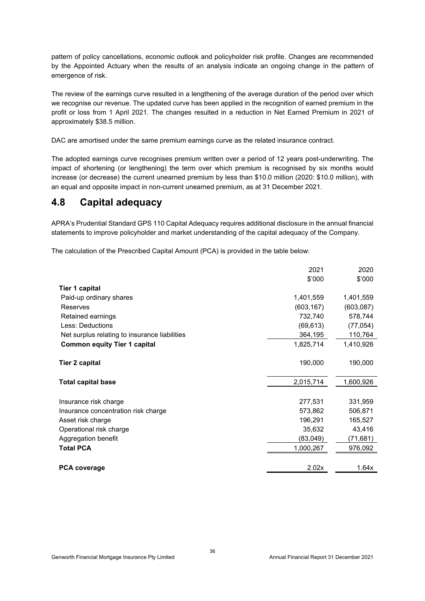pattern of policy cancellations, economic outlook and policyholder risk profile. Changes are recommended by the Appointed Actuary when the results of an analysis indicate an ongoing change in the pattern of emergence of risk.

The review of the earnings curve resulted in a lengthening of the average duration of the period over which we recognise our revenue. The updated curve has been applied in the recognition of earned premium in the profit or loss from 1 April 2021. The changes resulted in a reduction in Net Earned Premium in 2021 of approximately \$38.5 million.

DAC are amortised under the same premium earnings curve as the related insurance contract.

The adopted earnings curve recognises premium written over a period of 12 years post-underwriting. The impact of shortening (or lengthening) the term over which premium is recognised by six months would increase (or decrease) the current unearned premium by less than \$10.0 million (2020: \$10.0 million), with an equal and opposite impact in non-current unearned premium, as at 31 December 2021.

## **4.8 Capital adequacy**

APRA's Prudential Standard GPS 110 Capital Adequacy requires additional disclosure in the annual financial statements to improve policyholder and market understanding of the capital adequacy of the Company.

The calculation of the Prescribed Capital Amount (PCA) is provided in the table below:

|                                               | 2021       | 2020       |
|-----------------------------------------------|------------|------------|
|                                               | \$'000     | \$'000     |
| Tier 1 capital                                |            |            |
| Paid-up ordinary shares                       | 1,401,559  | 1,401,559  |
| Reserves                                      | (603, 167) | (603, 087) |
| Retained earnings                             | 732,740    | 578,744    |
| Less: Deductions                              | (69, 613)  | (77, 054)  |
| Net surplus relating to insurance liabilities | 364,195    | 110,764    |
| <b>Common equity Tier 1 capital</b>           | 1,825,714  | 1,410,926  |
| <b>Tier 2 capital</b>                         | 190,000    | 190,000    |
| <b>Total capital base</b>                     | 2,015,714  | 1,600,926  |
| Insurance risk charge                         | 277,531    | 331,959    |
| Insurance concentration risk charge           | 573,862    | 506,871    |
| Asset risk charge                             | 196,291    | 165,527    |
| Operational risk charge                       | 35,632     | 43,416     |
| Aggregation benefit                           | (83,049)   | (71,681)   |
| <b>Total PCA</b>                              | 1,000,267  | 976,092    |
|                                               |            |            |
| <b>PCA coverage</b>                           | 2.02x      | 1.64x      |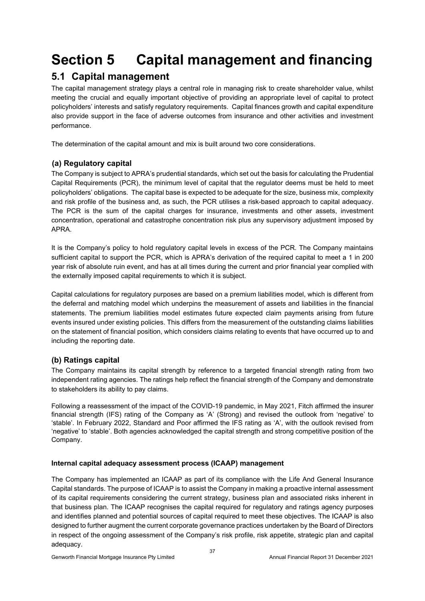## **Section 5 Capital management and financing**

## **5.1 Capital management**

The capital management strategy plays a central role in managing risk to create shareholder value, whilst meeting the crucial and equally important objective of providing an appropriate level of capital to protect policyholders' interests and satisfy regulatory requirements. Capital finances growth and capital expenditure also provide support in the face of adverse outcomes from insurance and other activities and investment performance.

The determination of the capital amount and mix is built around two core considerations.

#### **(a) Regulatory capital**

The Company is subject to APRA's prudential standards, which set out the basis for calculating the Prudential Capital Requirements (PCR), the minimum level of capital that the regulator deems must be held to meet policyholders' obligations. The capital base is expected to be adequate for the size, business mix, complexity and risk profile of the business and, as such, the PCR utilises a risk-based approach to capital adequacy. The PCR is the sum of the capital charges for insurance, investments and other assets, investment concentration, operational and catastrophe concentration risk plus any supervisory adjustment imposed by APRA.

It is the Company's policy to hold regulatory capital levels in excess of the PCR. The Company maintains sufficient capital to support the PCR, which is APRA's derivation of the required capital to meet a 1 in 200 year risk of absolute ruin event, and has at all times during the current and prior financial year complied with the externally imposed capital requirements to which it is subject.

Capital calculations for regulatory purposes are based on a premium liabilities model, which is different from the deferral and matching model which underpins the measurement of assets and liabilities in the financial statements. The premium liabilities model estimates future expected claim payments arising from future events insured under existing policies. This differs from the measurement of the outstanding claims liabilities on the statement of financial position, which considers claims relating to events that have occurred up to and including the reporting date.

#### **(b) Ratings capital**

The Company maintains its capital strength by reference to a targeted financial strength rating from two independent rating agencies. The ratings help reflect the financial strength of the Company and demonstrate to stakeholders its ability to pay claims.

Following a reassessment of the impact of the COVID-19 pandemic, in May 2021, Fitch affirmed the insurer financial strength (IFS) rating of the Company as 'A' (Strong) and revised the outlook from 'negative' to 'stable'. In February 2022, Standard and Poor affirmed the IFS rating as 'A', with the outlook revised from 'negative' to 'stable'. Both agencies acknowledged the capital strength and strong competitive position of the Company.

#### **Internal capital adequacy assessment process (ICAAP) management**

The Company has implemented an ICAAP as part of its compliance with the Life And General Insurance Capital standards. The purpose of ICAAP is to assist the Company in making a proactive internal assessment of its capital requirements considering the current strategy, business plan and associated risks inherent in that business plan. The ICAAP recognises the capital required for regulatory and ratings agency purposes and identifies planned and potential sources of capital required to meet these objectives. The ICAAP is also designed to further augment the current corporate governance practices undertaken by the Board of Directors in respect of the ongoing assessment of the Company's risk profile, risk appetite, strategic plan and capital adequacy.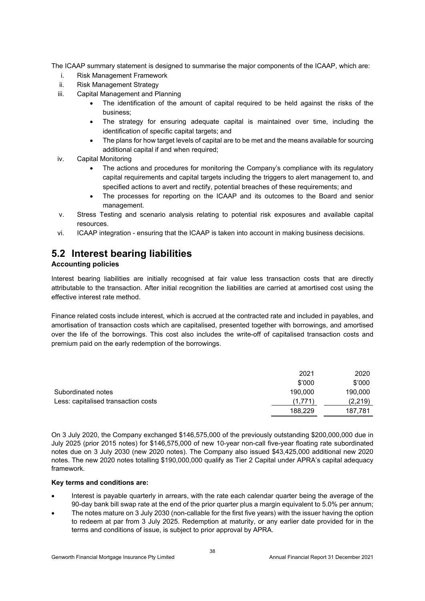The ICAAP summary statement is designed to summarise the major components of the ICAAP, which are:

- i. Risk Management Framework
- ii. Risk Management Strategy
- iii. Capital Management and Planning
	- The identification of the amount of capital required to be held against the risks of the business;
	- The strategy for ensuring adequate capital is maintained over time, including the identification of specific capital targets; and
	- The plans for how target levels of capital are to be met and the means available for sourcing additional capital if and when required;
- iv. Capital Monitoring
	- The actions and procedures for monitoring the Company's compliance with its regulatory capital requirements and capital targets including the triggers to alert management to, and specified actions to avert and rectify, potential breaches of these requirements; and
	- The processes for reporting on the ICAAP and its outcomes to the Board and senior management.
- v. Stress Testing and scenario analysis relating to potential risk exposures and available capital resources.
- vi. ICAAP integration ensuring that the ICAAP is taken into account in making business decisions.

## **5.2 Interest bearing liabilities**

#### **Accounting policies**

Interest bearing liabilities are initially recognised at fair value less transaction costs that are directly attributable to the transaction. After initial recognition the liabilities are carried at amortised cost using the effective interest rate method.

Finance related costs include interest, which is accrued at the contracted rate and included in payables, and amortisation of transaction costs which are capitalised, presented together with borrowings, and amortised over the life of the borrowings. This cost also includes the write-off of capitalised transaction costs and premium paid on the early redemption of the borrowings.

|                                     | 2021    | 2020    |
|-------------------------------------|---------|---------|
|                                     | \$'000  | \$'000  |
| Subordinated notes                  | 190.000 | 190,000 |
| Less: capitalised transaction costs | (1.771) | (2.219) |
|                                     | 188.229 | 187.781 |

On 3 July 2020, the Company exchanged \$146,575,000 of the previously outstanding \$200,000,000 due in July 2025 (prior 2015 notes) for \$146,575,000 of new 10-year non-call five-year floating rate subordinated notes due on 3 July 2030 (new 2020 notes). The Company also issued \$43,425,000 additional new 2020 notes. The new 2020 notes totalling \$190,000,000 qualify as Tier 2 Capital under APRA's capital adequacy framework.

#### **Key terms and conditions are:**

- Interest is payable quarterly in arrears, with the rate each calendar quarter being the average of the 90-day bank bill swap rate at the end of the prior quarter plus a margin equivalent to 5.0% per annum;
- The notes mature on 3 July 2030 (non-callable for the first five years) with the issuer having the option to redeem at par from 3 July 2025. Redemption at maturity, or any earlier date provided for in the terms and conditions of issue, is subject to prior approval by APRA.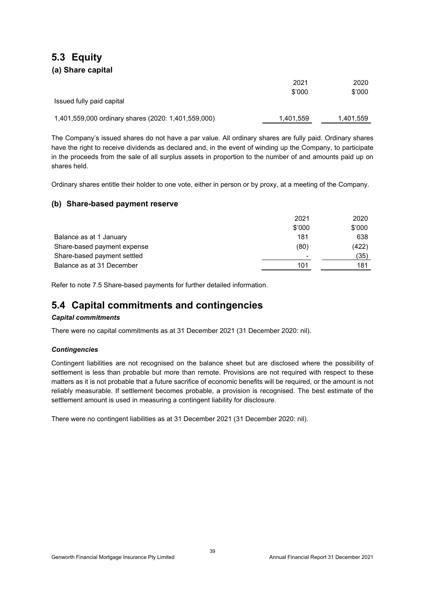## **5.3 Equity (a) Share capital**

|                                                     | 2021<br>\$'000 | 2020<br>\$'000 |
|-----------------------------------------------------|----------------|----------------|
| Issued fully paid capital                           |                |                |
| 1,401,559,000 ordinary shares (2020: 1,401,559,000) | 1,401,559      | 1,401,559      |

The Company's issued shares do not have a par value. All ordinary shares are fully paid. Ordinary shares have the right to receive dividends as declared and, in the event of winding up the Company, to participate in the proceeds from the sale of all surplus assets in proportion to the number of and amounts paid up on shares held.

Ordinary shares entitle their holder to one vote, either in person or by proxy, at a meeting of the Company.

#### **(b) Share-based payment reserve**

|                             | 2021   | 2020   |
|-----------------------------|--------|--------|
|                             | \$'000 | \$'000 |
| Balance as at 1 January     | 181    | 638    |
| Share-based payment expense | (80)   | (422)  |
| Share-based payment settled | -      | (35)   |
| Balance as at 31 December   | 101    | 181    |

Refer to note 7.5 Share-based payments for further detailed information.

## **5.4 Capital commitments and contingencies**

#### *Capital commitments*

There were no capital commitments as at 31 December 2021 (31 December 2020: nil).

#### *Contingencies*

Contingent liabilities are not recognised on the balance sheet but are disclosed where the possibility of settlement is less than probable but more than remote. Provisions are not required with respect to these matters as it is not probable that a future sacrifice of economic benefits will be required, or the amount is not reliably measurable. If settlement becomes probable, a provision is recognised. The best estimate of the settlement amount is used in measuring a contingent liability for disclosure.

There were no contingent liabilities as at 31 December 2021 (31 December 2020: nil).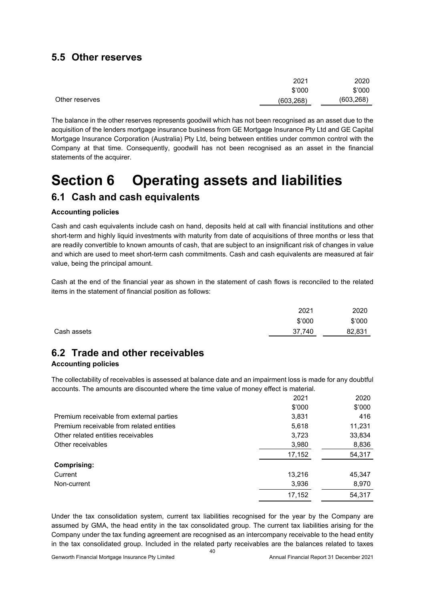### **5.5 Other reserves**

|                | 2021       | 2020       |
|----------------|------------|------------|
|                | \$'000     | \$'000     |
| Other reserves | (603, 268) | (603, 268) |

The balance in the other reserves represents goodwill which has not been recognised as an asset due to the acquisition of the lenders mortgage insurance business from GE Mortgage Insurance Pty Ltd and GE Capital Mortgage Insurance Corporation (Australia) Pty Ltd, being between entities under common control with the Company at that time. Consequently, goodwill has not been recognised as an asset in the financial statements of the acquirer.

## **Section 6 Operating assets and liabilities**

## **6.1 Cash and cash equivalents**

#### **Accounting policies**

Cash and cash equivalents include cash on hand, deposits held at call with financial institutions and other short-term and highly liquid investments with maturity from date of acquisitions of three months or less that are readily convertible to known amounts of cash, that are subject to an insignificant risk of changes in value and which are used to meet short-term cash commitments. Cash and cash equivalents are measured at fair value, being the principal amount.

Cash at the end of the financial year as shown in the statement of cash flows is reconciled to the related items in the statement of financial position as follows:

|             | 2021   | 2020   |
|-------------|--------|--------|
|             | \$'000 | \$'000 |
| Cash assets | 37,740 | 82,831 |

## **6.2 Trade and other receivables**

#### **Accounting policies**

The collectability of receivables is assessed at balance date and an impairment loss is made for any doubtful accounts. The amounts are discounted where the time value of money effect is material.

|                                          | 2021   | 2020   |
|------------------------------------------|--------|--------|
|                                          | \$'000 | \$'000 |
| Premium receivable from external parties | 3,831  | 416    |
| Premium receivable from related entities | 5,618  | 11,231 |
| Other related entities receivables       | 3,723  | 33,834 |
| Other receivables                        | 3,980  | 8,836  |
|                                          | 17,152 | 54,317 |
| <b>Comprising:</b>                       |        |        |
| Current                                  | 13,216 | 45,347 |
| Non-current                              | 3,936  | 8,970  |
|                                          | 17,152 | 54.317 |

Under the tax consolidation system, current tax liabilities recognised for the year by the Company are assumed by GMA, the head entity in the tax consolidated group. The current tax liabilities arising for the Company under the tax funding agreement are recognised as an intercompany receivable to the head entity in the tax consolidated group. Included in the related party receivables are the balances related to taxes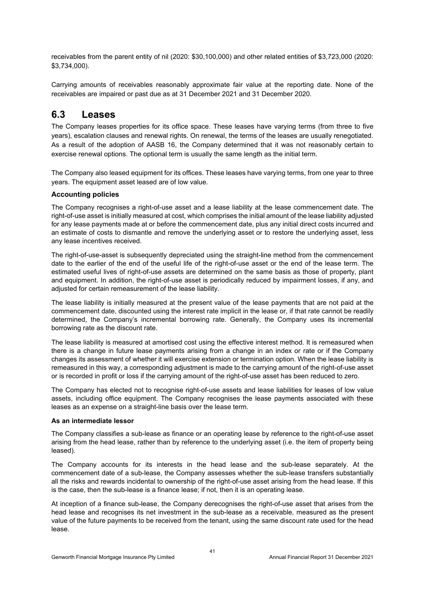receivables from the parent entity of nil (2020: \$30,100,000) and other related entities of \$3,723,000 (2020: \$3,734,000).

Carrying amounts of receivables reasonably approximate fair value at the reporting date. None of the receivables are impaired or past due as at 31 December 2021 and 31 December 2020.

### **6.3 Leases**

The Company leases properties for its office space. These leases have varying terms (from three to five years), escalation clauses and renewal rights. On renewal, the terms of the leases are usually renegotiated. As a result of the adoption of AASB 16, the Company determined that it was not reasonably certain to exercise renewal options. The optional term is usually the same length as the initial term.

The Company also leased equipment for its offices. These leases have varying terms, from one year to three years. The equipment asset leased are of low value.

#### **Accounting policies**

The Company recognises a right-of-use asset and a lease liability at the lease commencement date. The right-of-use asset is initially measured at cost, which comprises the initial amount of the lease liability adjusted for any lease payments made at or before the commencement date, plus any initial direct costs incurred and an estimate of costs to dismantle and remove the underlying asset or to restore the underlying asset, less any lease incentives received.

The right-of-use-asset is subsequently depreciated using the straight-line method from the commencement date to the earlier of the end of the useful life of the right-of-use asset or the end of the lease term. The estimated useful lives of right-of-use assets are determined on the same basis as those of property, plant and equipment. In addition, the right-of-use asset is periodically reduced by impairment losses, if any, and adjusted for certain remeasurement of the lease liability.

The lease liability is initially measured at the present value of the lease payments that are not paid at the commencement date, discounted using the interest rate implicit in the lease or, if that rate cannot be readily determined, the Company's incremental borrowing rate. Generally, the Company uses its incremental borrowing rate as the discount rate.

The lease liability is measured at amortised cost using the effective interest method. It is remeasured when there is a change in future lease payments arising from a change in an index or rate or if the Company changes its assessment of whether it will exercise extension or termination option. When the lease liability is remeasured in this way, a corresponding adjustment is made to the carrying amount of the right-of-use asset or is recorded in profit or loss if the carrying amount of the right-of-use asset has been reduced to zero.

The Company has elected not to recognise right-of-use assets and lease liabilities for leases of low value assets, including office equipment. The Company recognises the lease payments associated with these leases as an expense on a straight-line basis over the lease term.

#### **As an intermediate lessor**

The Company classifies a sub-lease as finance or an operating lease by reference to the right-of-use asset arising from the head lease, rather than by reference to the underlying asset (i.e. the item of property being leased).

The Company accounts for its interests in the head lease and the sub-lease separately. At the commencement date of a sub-lease, the Company assesses whether the sub-lease transfers substantially all the risks and rewards incidental to ownership of the right-of-use asset arising from the head lease. If this is the case, then the sub-lease is a finance lease; if not, then it is an operating lease.

At inception of a finance sub-lease, the Company derecognises the right-of-use asset that arises from the head lease and recognises its net investment in the sub-lease as a receivable, measured as the present value of the future payments to be received from the tenant, using the same discount rate used for the head lease.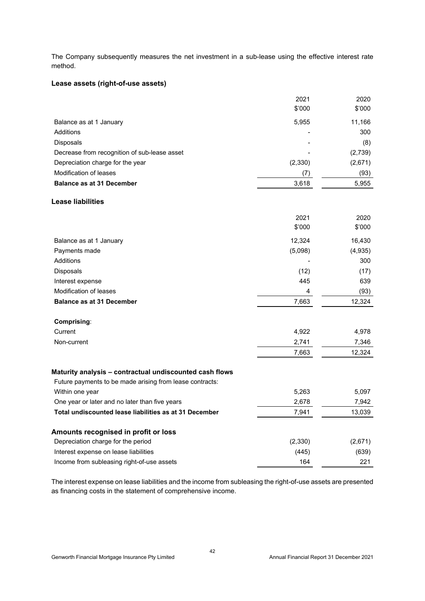The Company subsequently measures the net investment in a sub-lease using the effective interest rate method.

#### **Lease assets (right-of-use assets)**

|                                                          | 2021<br>\$'000 | 2020<br>\$'000 |
|----------------------------------------------------------|----------------|----------------|
| Balance as at 1 January                                  | 5,955          | 11,166         |
| Additions                                                |                | 300            |
| Disposals                                                |                | (8)            |
| Decrease from recognition of sub-lease asset             |                | (2,739)        |
| Depreciation charge for the year                         | (2,330)        | (2,671)        |
| Modification of leases                                   | (7)            | (93)           |
| <b>Balance as at 31 December</b>                         | 3,618          | 5,955          |
| <b>Lease liabilities</b>                                 |                |                |
|                                                          | 2021           | 2020           |
|                                                          | \$'000         | \$'000         |
| Balance as at 1 January                                  | 12,324         | 16,430         |
| Payments made                                            | (5,098)        | (4,935)        |
| <b>Additions</b>                                         |                | 300            |
| Disposals                                                | (12)           | (17)           |
| Interest expense                                         | 445            | 639            |
| Modification of leases                                   | 4              | (93)           |
| <b>Balance as at 31 December</b>                         | 7,663          | 12,324         |
| Comprising:                                              |                |                |
| Current                                                  | 4,922          | 4,978          |
| Non-current                                              | 2,741          | 7,346          |
|                                                          | 7,663          | 12,324         |
| Maturity analysis - contractual undiscounted cash flows  |                |                |
| Future payments to be made arising from lease contracts: |                |                |
| Within one year                                          | 5,263          | 5,097          |
| One year or later and no later than five years           | 2,678          | 7,942          |
| Total undiscounted lease liabilities as at 31 December   | 7,941          | 13,039         |
| Amounts recognised in profit or loss                     |                |                |
| Depreciation charge for the period                       | (2, 330)       | (2,671)        |
| Interest expense on lease liabilities                    | (445)          | (639)          |
| Income from subleasing right-of-use assets               | 164            | 221            |

The interest expense on lease liabilities and the income from subleasing the right-of-use assets are presented as financing costs in the statement of comprehensive income.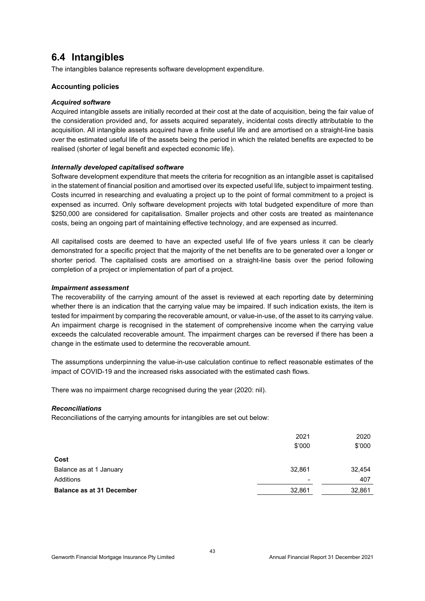## **6.4 Intangibles**

The intangibles balance represents software development expenditure.

#### **Accounting policies**

#### *Acquired software*

Acquired intangible assets are initially recorded at their cost at the date of acquisition, being the fair value of the consideration provided and, for assets acquired separately, incidental costs directly attributable to the acquisition. All intangible assets acquired have a finite useful life and are amortised on a straight-line basis over the estimated useful life of the assets being the period in which the related benefits are expected to be realised (shorter of legal benefit and expected economic life).

#### *Internally developed capitalised software*

Software development expenditure that meets the criteria for recognition as an intangible asset is capitalised in the statement of financial position and amortised over its expected useful life, subject to impairment testing. Costs incurred in researching and evaluating a project up to the point of formal commitment to a project is expensed as incurred. Only software development projects with total budgeted expenditure of more than \$250,000 are considered for capitalisation. Smaller projects and other costs are treated as maintenance costs, being an ongoing part of maintaining effective technology, and are expensed as incurred.

All capitalised costs are deemed to have an expected useful life of five years unless it can be clearly demonstrated for a specific project that the majority of the net benefits are to be generated over a longer or shorter period. The capitalised costs are amortised on a straight-line basis over the period following completion of a project or implementation of part of a project.

#### *Impairment assessment*

The recoverability of the carrying amount of the asset is reviewed at each reporting date by determining whether there is an indication that the carrying value may be impaired. If such indication exists, the item is tested for impairment by comparing the recoverable amount, or value-in-use, of the asset to its carrying value. An impairment charge is recognised in the statement of comprehensive income when the carrying value exceeds the calculated recoverable amount. The impairment charges can be reversed if there has been a change in the estimate used to determine the recoverable amount.

The assumptions underpinning the value-in-use calculation continue to reflect reasonable estimates of the impact of COVID-19 and the increased risks associated with the estimated cash flows.

There was no impairment charge recognised during the year (2020: nil).

#### *Reconciliations*

Reconciliations of the carrying amounts for intangibles are set out below:

|                                  | 2021   | 2020   |
|----------------------------------|--------|--------|
|                                  | \$'000 | \$'000 |
| Cost                             |        |        |
| Balance as at 1 January          | 32,861 | 32,454 |
| Additions                        |        | 407    |
| <b>Balance as at 31 December</b> | 32,861 | 32,861 |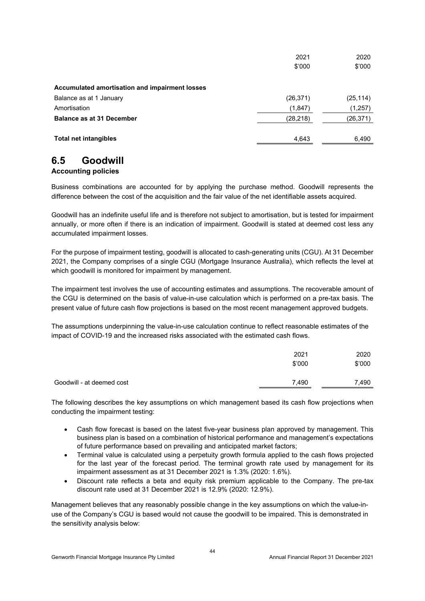|                                                | 2021      | 2020      |
|------------------------------------------------|-----------|-----------|
|                                                | \$'000    | \$'000    |
| Accumulated amortisation and impairment losses |           |           |
| Balance as at 1 January                        | (26, 371) | (25, 114) |
| Amortisation                                   | (1, 847)  | (1, 257)  |
| <b>Balance as at 31 December</b>               | (28, 218) | (26,371)  |
| <b>Total net intangibles</b>                   | 4,643     | 6,490     |

## **6.5 Goodwill**

#### **Accounting policies**

Business combinations are accounted for by applying the purchase method. Goodwill represents the difference between the cost of the acquisition and the fair value of the net identifiable assets acquired.

Goodwill has an indefinite useful life and is therefore not subject to amortisation, but is tested for impairment annually, or more often if there is an indication of impairment. Goodwill is stated at deemed cost less any accumulated impairment losses.

For the purpose of impairment testing, goodwill is allocated to cash-generating units (CGU). At 31 December 2021, the Company comprises of a single CGU (Mortgage Insurance Australia), which reflects the level at which goodwill is monitored for impairment by management.

The impairment test involves the use of accounting estimates and assumptions. The recoverable amount of the CGU is determined on the basis of value-in-use calculation which is performed on a pre-tax basis. The present value of future cash flow projections is based on the most recent management approved budgets.

The assumptions underpinning the value-in-use calculation continue to reflect reasonable estimates of the impact of COVID-19 and the increased risks associated with the estimated cash flows.

|                           | 2021<br>\$'000 | 2020<br>\$'000 |
|---------------------------|----------------|----------------|
| Goodwill - at deemed cost | 7,490          | 7,490          |

The following describes the key assumptions on which management based its cash flow projections when conducting the impairment testing:

- Cash flow forecast is based on the latest five-year business plan approved by management. This business plan is based on a combination of historical performance and management's expectations of future performance based on prevailing and anticipated market factors;
- Terminal value is calculated using a perpetuity growth formula applied to the cash flows projected for the last year of the forecast period. The terminal growth rate used by management for its impairment assessment as at 31 December 2021 is 1.3% (2020: 1.6%).
- Discount rate reflects a beta and equity risk premium applicable to the Company. The pre-tax discount rate used at 31 December 2021 is 12.9% (2020: 12.9%).

Management believes that any reasonably possible change in the key assumptions on which the value-inuse of the Company's CGU is based would not cause the goodwill to be impaired. This is demonstrated in the sensitivity analysis below: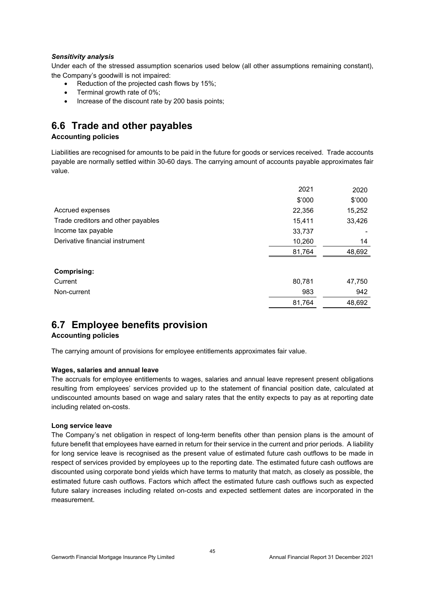#### *Sensitivity analysis*

Under each of the stressed assumption scenarios used below (all other assumptions remaining constant), the Company's goodwill is not impaired:

- Reduction of the projected cash flows by 15%;
- Terminal growth rate of 0%;
- Increase of the discount rate by 200 basis points;

## **6.6 Trade and other payables**

#### **Accounting policies**

Liabilities are recognised for amounts to be paid in the future for goods or services received. Trade accounts payable are normally settled within 30-60 days. The carrying amount of accounts payable approximates fair value.

|                                    | 2021   | 2020   |
|------------------------------------|--------|--------|
|                                    | \$'000 | \$'000 |
| Accrued expenses                   | 22,356 | 15,252 |
| Trade creditors and other payables | 15,411 | 33,426 |
| Income tax payable                 | 33,737 |        |
| Derivative financial instrument    | 10,260 | 14     |
|                                    | 81,764 | 48,692 |
| <b>Comprising:</b>                 |        |        |
| Current                            | 80,781 | 47,750 |
| Non-current                        | 983    | 942    |
|                                    | 81,764 | 48,692 |

## **6.7 Employee benefits provision**

#### **Accounting policies**

The carrying amount of provisions for employee entitlements approximates fair value.

#### **Wages, salaries and annual leave**

The accruals for employee entitlements to wages, salaries and annual leave represent present obligations resulting from employees' services provided up to the statement of financial position date, calculated at undiscounted amounts based on wage and salary rates that the entity expects to pay as at reporting date including related on-costs.

#### **Long service leave**

The Company's net obligation in respect of long-term benefits other than pension plans is the amount of future benefit that employees have earned in return for their service in the current and prior periods. A liability for long service leave is recognised as the present value of estimated future cash outflows to be made in respect of services provided by employees up to the reporting date. The estimated future cash outflows are discounted using corporate bond yields which have terms to maturity that match, as closely as possible, the estimated future cash outflows. Factors which affect the estimated future cash outflows such as expected future salary increases including related on-costs and expected settlement dates are incorporated in the measurement.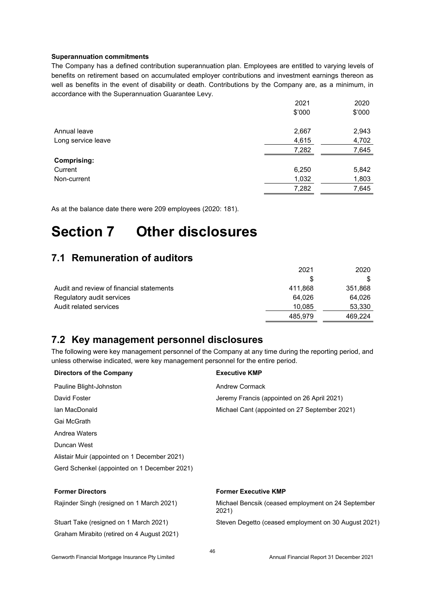#### **Superannuation commitments**

The Company has a defined contribution superannuation plan. Employees are entitled to varying levels of benefits on retirement based on accumulated employer contributions and investment earnings thereon as well as benefits in the event of disability or death. Contributions by the Company are, as a minimum, in accordance with the Superannuation Guarantee Levy.

|                    | 2021   | 2020   |
|--------------------|--------|--------|
|                    | \$'000 | \$'000 |
| Annual leave       | 2,667  | 2,943  |
| Long service leave | 4,615  | 4,702  |
|                    | 7,282  | 7,645  |
| <b>Comprising:</b> |        |        |
| Current            | 6,250  | 5,842  |
| Non-current        | 1,032  | 1,803  |
|                    | 7,282  | 7,645  |

As at the balance date there were 209 employees (2020: 181).

## **Section 7 Other disclosures**

## **7.1 Remuneration of auditors**

|                                          | 2021    | 2020    |
|------------------------------------------|---------|---------|
|                                          | S       |         |
| Audit and review of financial statements | 411,868 | 351,868 |
| Regulatory audit services                | 64.026  | 64,026  |
| Audit related services                   | 10.085  | 53,330  |
|                                          | 485.979 | 469.224 |

### **7.2 Key management personnel disclosures**

The following were key management personnel of the Company at any time during the reporting period, and unless otherwise indicated, were key management personnel for the entire period.

| <b>Directors of the Company</b>              | <b>Executive KMP</b>                                        |
|----------------------------------------------|-------------------------------------------------------------|
| Pauline Blight-Johnston                      | Andrew Cormack                                              |
| David Foster                                 | Jeremy Francis (appointed on 26 April 2021)                 |
| Ian MacDonald                                | Michael Cant (appointed on 27 September 2021)               |
| Gai McGrath                                  |                                                             |
| Andrea Waters                                |                                                             |
| Duncan West                                  |                                                             |
| Alistair Muir (appointed on 1 December 2021) |                                                             |
| Gerd Schenkel (appointed on 1 December 2021) |                                                             |
| <b>Former Directors</b>                      | <b>Former Executive KMP</b>                                 |
| Rajinder Singh (resigned on 1 March 2021)    | Michael Bencsik (ceased employment on 24 September<br>2021) |
| Stuart Take (resigned on 1 March 2021)       | Steven Degetto (ceased employment on 30 August 2021)        |
| Graham Mirabito (retired on 4 August 2021)   |                                                             |
|                                              |                                                             |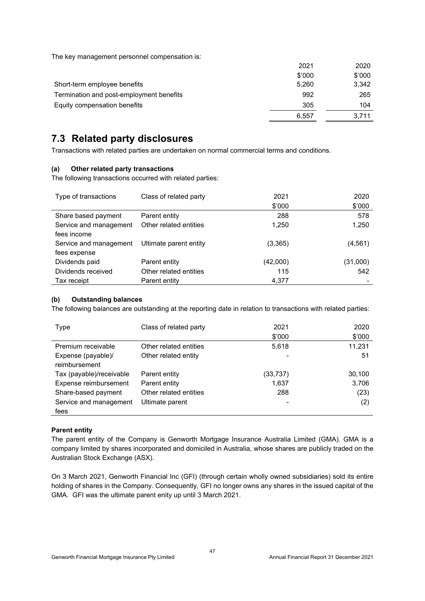The key management personnel compensation is:

|                                          | 2021   | 2020   |
|------------------------------------------|--------|--------|
|                                          | \$'000 | \$'000 |
| Short-term employee benefits             | 5,260  | 3,342  |
| Termination and post-employment benefits | 992    | 265    |
| Equity compensation benefits             | 305    | 104    |
|                                          | 6.557  | 3.711  |

## **7.3 Related party disclosures**

Transactions with related parties are undertaken on normal commercial terms and conditions.

#### **(a) Other related party transactions**

The following transactions occurred with related parties:

| Type of transactions   | Class of related party | 2021     | 2020     |
|------------------------|------------------------|----------|----------|
|                        |                        | \$'000   | \$'000   |
| Share based payment    | Parent entity          | 288      | 578      |
| Service and management | Other related entities | 1.250    | 1,250    |
| fees income            |                        |          |          |
| Service and management | Ultimate parent entity | (3, 365) | (4, 561) |
| fees expense           |                        |          |          |
| Dividends paid         | Parent entity          | (42,000) | (31,000) |
| Dividends received     | Other related entities | 115      | 542      |
| Tax receipt            | Parent entity          | 4,377    |          |

#### **(b) Outstanding balances**

The following balances are outstanding at the reporting date in relation to transactions with related parties:

| <b>Type</b>              | Class of related party | 2021     | 2020   |
|--------------------------|------------------------|----------|--------|
|                          |                        | \$'000   | \$'000 |
| Premium receivable       | Other related entities | 5,618    | 11,231 |
| Expense (payable)/       | Other related entity   |          | 51     |
| reimbursement            |                        |          |        |
| Tax (payable)/receivable | Parent entity          | (33,737) | 30,100 |
| Expense reimbursement    | Parent entity          | 1,637    | 3,706  |
| Share-based payment      | Other related entities | 288      | (23)   |
| Service and management   | Ultimate parent        |          | (2)    |
| fees                     |                        |          |        |

#### **Parent entity**

The parent entity of the Company is Genworth Mortgage Insurance Australia Limited (GMA). GMA is a company limited by shares incorporated and domiciled in Australia, whose shares are publicly traded on the Australian Stock Exchange (ASX).

On 3 March 2021, Genworth Financial Inc (GFI) (through certain wholly owned subsidiaries) sold its entire holding of shares in the Company. Consequently, GFI no longer owns any shares in the issued capital of the GMA. GFI was the ultimate parent enity up until 3 March 2021.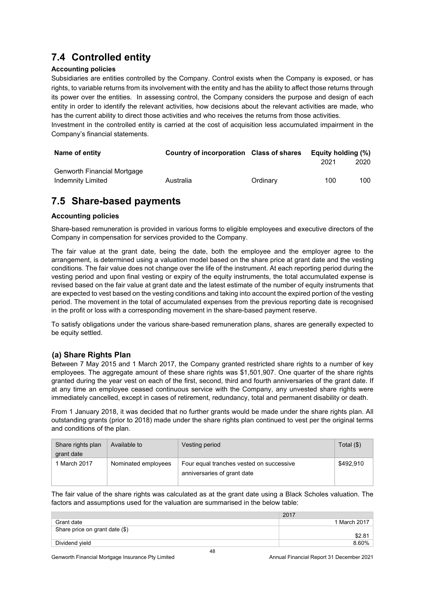## **7.4 Controlled entity**

#### **Accounting policies**

Subsidiaries are entities controlled by the Company. Control exists when the Company is exposed, or has rights, to variable returns from its involvement with the entity and has the ability to affect those returns through its power over the entities. In assessing control, the Company considers the purpose and design of each entity in order to identify the relevant activities, how decisions about the relevant activities are made, who has the current ability to direct those activities and who receives the returns from those activities.

Investment in the controlled entity is carried at the cost of acquisition less accumulated impairment in the Company's financial statements.

| Name of entity              | Country of incorporation Class of shares |          | Equity holding (%) |      |
|-----------------------------|------------------------------------------|----------|--------------------|------|
|                             |                                          |          | 2021               | 2020 |
| Genworth Financial Mortgage |                                          |          |                    |      |
| Indemnity Limited           | Australia                                | Ordinary | 100                | 100  |

## **7.5 Share-based payments**

#### **Accounting policies**

Share-based remuneration is provided in various forms to eligible employees and executive directors of the Company in compensation for services provided to the Company.

The fair value at the grant date, being the date, both the employee and the employer agree to the arrangement, is determined using a valuation model based on the share price at grant date and the vesting conditions. The fair value does not change over the life of the instrument. At each reporting period during the vesting period and upon final vesting or expiry of the equity instruments, the total accumulated expense is revised based on the fair value at grant date and the latest estimate of the number of equity instruments that are expected to vest based on the vesting conditions and taking into account the expired portion of the vesting period. The movement in the total of accumulated expenses from the previous reporting date is recognised in the profit or loss with a corresponding movement in the share-based payment reserve.

To satisfy obligations under the various share-based remuneration plans, shares are generally expected to be equity settled.

#### **(a) Share Rights Plan**

Between 7 May 2015 and 1 March 2017, the Company granted restricted share rights to a number of key employees. The aggregate amount of these share rights was \$1,501,907. One quarter of the share rights granted during the year vest on each of the first, second, third and fourth anniversaries of the grant date. If at any time an employee ceased continuous service with the Company, any unvested share rights were immediately cancelled, except in cases of retirement, redundancy, total and permanent disability or death.

From 1 January 2018, it was decided that no further grants would be made under the share rights plan. All outstanding grants (prior to 2018) made under the share rights plan continued to vest per the original terms and conditions of the plan.

| Share rights plan<br>grant date | Available to        | Vesting period                                                          | Total $($ \$ $)$ |
|---------------------------------|---------------------|-------------------------------------------------------------------------|------------------|
| 1 March 2017                    | Nominated employees | Four equal tranches vested on successive<br>anniversaries of grant date | \$492,910        |

The fair value of the share rights was calculated as at the grant date using a Black Scholes valuation. The factors and assumptions used for the valuation are summarised in the below table:

|                                | 2017         |
|--------------------------------|--------------|
| Grant date                     | 1 March 2017 |
| Share price on grant date (\$) |              |
|                                |              |
| Dividend yield                 | 8.60%        |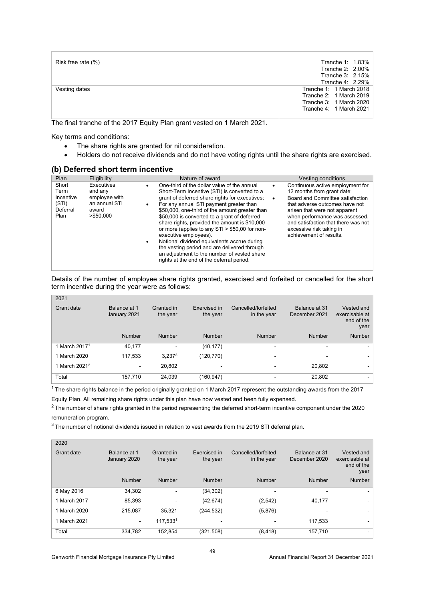| Risk free rate (%) | Tranche 1: 1.83%        |
|--------------------|-------------------------|
|                    | Tranche 2: 2.00%        |
|                    | Tranche 3: 2.15%        |
|                    | Tranche 4: 2.29%        |
| Vesting dates      | Tranche 1: 1 March 2018 |
|                    | Tranche 2: 1 March 2019 |
|                    | Tranche 3: 1 March 2020 |
|                    | Tranche 4: 1 March 2021 |
|                    |                         |

The final tranche of the 2017 Equity Plan grant vested on 1 March 2021.

Key terms and conditions:

 $2021$ 

- The share rights are granted for nil consideration.
- Holders do not receive dividends and do not have voting rights until the share rights are exercised.

#### **(b) Deferred short term incentive**

| Plan                                                    | Eligibility                                                                    | Nature of award                                                                                                                                                                                                                                                                                                                                                                                                                                                                                                                                                                                                                           | Vesting conditions                                                                                                                                                                                                                                                                                                 |
|---------------------------------------------------------|--------------------------------------------------------------------------------|-------------------------------------------------------------------------------------------------------------------------------------------------------------------------------------------------------------------------------------------------------------------------------------------------------------------------------------------------------------------------------------------------------------------------------------------------------------------------------------------------------------------------------------------------------------------------------------------------------------------------------------------|--------------------------------------------------------------------------------------------------------------------------------------------------------------------------------------------------------------------------------------------------------------------------------------------------------------------|
| Short<br>Term<br>Incentive<br>(STI)<br>Deferral<br>Plan | Executives<br>and any<br>employee with<br>an annual STI<br>award<br>> \$50.000 | One-third of the dollar value of the annual<br>٠<br>Short-Term Incentive (STI) is converted to a<br>grant of deferred share rights for executives;<br>For any annual STI payment greater than<br>$\bullet$<br>\$50,000, one-third of the amount greater than<br>\$50,000 is converted to a grant of deferred<br>share rights, provided the amount is \$10,000<br>or more (applies to any $STI > $50,00$ for non-<br>executive employees).<br>Notional dividend equivalents accrue during<br>٠<br>the vesting period and are delivered through<br>an adjustment to the number of vested share<br>rights at the end of the deferral period. | Continuous active employment for<br>12 months from grant date;<br>Board and Committee satisfaction<br>$\bullet$<br>that adverse outcomes have not<br>arisen that were not apparent<br>when performance was assessed.<br>and satisfaction that there was not<br>excessive risk taking in<br>achievement of results. |

Details of the number of employee share rights granted, exercised and forfeited or cancelled for the short term incentive during the year were as follows:

| 2021                      |                              |                        |                          |                                    |                                |                                                    |
|---------------------------|------------------------------|------------------------|--------------------------|------------------------------------|--------------------------------|----------------------------------------------------|
| Grant date                | Balance at 1<br>January 2021 | Granted in<br>the year | Exercised in<br>the year | Cancelled/forfeited<br>in the year | Balance at 31<br>December 2021 | Vested and<br>exercisable at<br>end of the<br>year |
|                           | <b>Number</b>                | Number                 | Number                   | Number                             | Number                         | <b>Number</b>                                      |
| 1 March 2017 <sup>1</sup> | 40.177                       |                        | (40, 177)                |                                    |                                |                                                    |
| 1 March 2020              | 117,533                      | $3,237^3$              | (120,770)                | -                                  |                                |                                                    |
| 1 March 2021 <sup>2</sup> | $\blacksquare$               | 20.802                 | -                        |                                    | 20.802                         |                                                    |
| Total                     | 157,710                      | 24,039                 | (160,947)                |                                    | 20,802                         |                                                    |

<sup>1</sup> The share rights balance in the period originally granted on 1 March 2017 represent the outstanding awards from the 2017 Equity Plan. All remaining share rights under this plan have now vested and been fully expensed.

 $2$  The number of share rights granted in the period representing the deferred short-term incentive component under the 2020 remuneration program.

 $3$  The number of notional dividends issued in relation to vest awards from the 2019 STI deferral plan.

| 2020         |                              |                          |                          |                                    |                                |                                                    |
|--------------|------------------------------|--------------------------|--------------------------|------------------------------------|--------------------------------|----------------------------------------------------|
| Grant date   | Balance at 1<br>January 2020 | Granted in<br>the year   | Exercised in<br>the year | Cancelled/forfeited<br>in the year | Balance at 31<br>December 2020 | Vested and<br>exercisable at<br>end of the<br>year |
|              | <b>Number</b>                | Number                   | Number                   | Number                             | <b>Number</b>                  | <b>Number</b>                                      |
| 6 May 2016   | 34,302                       | $\overline{\phantom{a}}$ | (34, 302)                |                                    |                                |                                                    |
| 1 March 2017 | 85.393                       |                          | (42, 674)                | (2, 542)                           | 40.177                         |                                                    |
| 1 March 2020 | 215,087                      | 35,321                   | (244, 532)               | (5,876)                            |                                |                                                    |
| 1 March 2021 | $\blacksquare$               | 117,5331                 | ٠                        |                                    | 117,533                        |                                                    |
| Total        | 334,782                      | 152.854                  | (321,508)                | (8, 418)                           | 157.710                        |                                                    |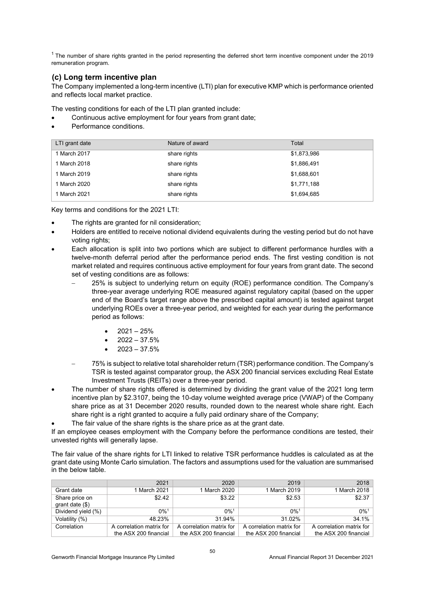$<sup>1</sup>$  The number of share rights granted in the period representing the deferred short term incentive component under the 2019</sup> remuneration program.

#### **(c) Long term incentive plan**

The Company implemented a long-term incentive (LTI) plan for executive KMP which is performance oriented and reflects local market practice.

The vesting conditions for each of the LTI plan granted include:

- Continuous active employment for four years from grant date;
- Performance conditions.

| LTI grant date | Nature of award | Total       |
|----------------|-----------------|-------------|
| 1 March 2017   | share rights    | \$1,873,986 |
| 1 March 2018   | share rights    | \$1,886,491 |
| 1 March 2019   | share rights    | \$1,688,601 |
| 1 March 2020   | share rights    | \$1,771,188 |
| 1 March 2021   | share rights    | \$1,694,685 |

Key terms and conditions for the 2021 LTI:

- The rights are granted for nil consideration;
- Holders are entitled to receive notional dividend equivalents during the vesting period but do not have voting rights;
- Each allocation is split into two portions which are subject to different performance hurdles with a twelve-month deferral period after the performance period ends. The first vesting condition is not market related and requires continuous active employment for four years from grant date. The second set of vesting conditions are as follows:
	- 25% is subject to underlying return on equity (ROE) performance condition. The Company's three-year average underlying ROE measured against regulatory capital (based on the upper end of the Board's target range above the prescribed capital amount) is tested against target underlying ROEs over a three-year period, and weighted for each year during the performance period as follows:
		- $2021 25%$
		- 2022 37.5%
		- 2023 37.5%
	- 75% is subject to relative total shareholder return (TSR) performance condition. The Company's TSR is tested against comparator group, the ASX 200 financial services excluding Real Estate Investment Trusts (REITs) over a three-year period.
- The number of share rights offered is determined by dividing the grant value of the 2021 long term incentive plan by \$2.3107, being the 10-day volume weighted average price (VWAP) of the Company share price as at 31 December 2020 results, rounded down to the nearest whole share right. Each share right is a right granted to acquire a fully paid ordinary share of the Company;
	- The fair value of the share rights is the share price as at the grant date.

If an employee ceases employment with the Company before the performance conditions are tested, their unvested rights will generally lapse.

The fair value of the share rights for LTI linked to relative TSR performance huddles is calculated as at the grant date using Monte Carlo simulation. The factors and assumptions used for the valuation are summarised in the below table.

|                                     | 2021                     | 2020                     | 2019                     | 2018                     |
|-------------------------------------|--------------------------|--------------------------|--------------------------|--------------------------|
| Grant date                          | 1 March 2021             | 1 March 2020             | 1 March 2019             | 1 March 2018             |
| Share price on<br>grant date $(\$)$ | \$2.42                   | \$3.22                   | \$2.53                   | \$2.37                   |
| Dividend yield (%)                  | $0\%$ <sup>1</sup>       | $0\%$ <sup>1</sup>       | $0\%$ <sup>1</sup>       | $0\%$ <sup>1</sup>       |
| Volatility (%)                      | 48.23%                   | 31.94%                   | 31.02%                   | 34.1%                    |
| Correlation                         | A correlation matrix for | A correlation matrix for | A correlation matrix for | A correlation matrix for |
|                                     | the ASX 200 financial    | the ASX 200 financial    | the ASX 200 financial    | the ASX 200 financial    |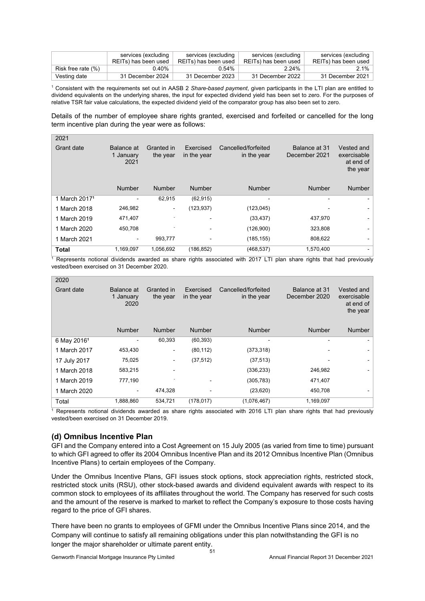|                    | services (excluding  | services (excluding  | services (excluding  | services (excluding  |
|--------------------|----------------------|----------------------|----------------------|----------------------|
|                    | REITs) has been used | REITs) has been used | REITs) has been used | REITs) has been used |
| Risk free rate (%) | 0.40%                | 0.54%                | 2.24%                | $2.1\%$              |
| Vesting date       | 31 December 2024     | 31 December 2023     | 31 December 2022     | 31 December 2021     |

1 Consistent with the requirements set out in AASB 2 *Share-based payment*, given participants in the LTI plan are entitled to dividend equivalents on the underlying shares, the input for expected dividend yield has been set to zero. For the purposes of relative TSR fair value calculations, the expected dividend yield of the comparator group has also been set to zero.

Details of the number of employee share rights granted, exercised and forfeited or cancelled for the long term incentive plan during the year were as follows:

| 2021                      |                                 |                        |                          |                                    |                                |                                                    |
|---------------------------|---------------------------------|------------------------|--------------------------|------------------------------------|--------------------------------|----------------------------------------------------|
| Grant date                | Balance at<br>1 January<br>2021 | Granted in<br>the year | Exercised<br>in the year | Cancelled/forfeited<br>in the year | Balance at 31<br>December 2021 | Vested and<br>exercisable<br>at end of<br>the year |
|                           | <b>Number</b>                   | <b>Number</b>          | <b>Number</b>            | <b>Number</b>                      | <b>Number</b>                  | <b>Number</b>                                      |
| 1 March 2017 <sup>1</sup> |                                 | 62,915                 | (62, 915)                |                                    |                                |                                                    |
| 1 March 2018              | 246,982                         | $\blacksquare$         | (123, 937)               | (123, 045)                         |                                |                                                    |
| 1 March 2019              | 471,407                         |                        |                          | (33, 437)                          | 437,970                        |                                                    |
| 1 March 2020              | 450,708                         |                        |                          | (126,900)                          | 323,808                        |                                                    |
| 1 March 2021              |                                 | 993,777                |                          | (185, 155)                         | 808,622                        |                                                    |
| <b>Total</b>              | 1,169,097                       | 1,056,692              | (186, 852)               | (468, 537)                         | 1,570,400                      | $\sim$                                             |

1 Represents notional dividends awarded as share rights associated with 2017 LTI plan share rights that had previously vested/been exercised on 31 December 2020.

| 2020                    |                                 |                        |                          |                                    |                                |                                                    |
|-------------------------|---------------------------------|------------------------|--------------------------|------------------------------------|--------------------------------|----------------------------------------------------|
| Grant date              | Balance at<br>1 January<br>2020 | Granted in<br>the year | Exercised<br>in the year | Cancelled/forfeited<br>in the year | Balance at 31<br>December 2020 | Vested and<br>exercisable<br>at end of<br>the year |
|                         | <b>Number</b>                   | <b>Number</b>          | <b>Number</b>            | <b>Number</b>                      | <b>Number</b>                  | <b>Number</b>                                      |
| 6 May 2016 <sup>1</sup> |                                 | 60,393                 | (60, 393)                |                                    |                                |                                                    |
| 1 March 2017            | 453,430                         | -                      | (80, 112)                | (373, 318)                         |                                |                                                    |
| 17 July 2017            | 75,025                          | -                      | (37, 512)                | (37, 513)                          |                                |                                                    |
| 1 March 2018            | 583,215                         | $\overline{a}$         |                          | (336, 233)                         | 246,982                        |                                                    |
| 1 March 2019            | 777,190                         |                        |                          | (305, 783)                         | 471,407                        |                                                    |
| 1 March 2020            | $\qquad \qquad \blacksquare$    | 474.328                |                          | (23, 620)                          | 450.708                        |                                                    |
| Total                   | 1,888,860                       | 534,721                | (178, 017)               | (1,076,467)                        | 1,169,097                      |                                                    |

<sup>1</sup> Represents notional dividends awarded as share rights associated with 2016 LTI plan share rights that had previously vested/been exercised on 31 December 2019.

#### **(d) Omnibus Incentive Plan**

GFI and the Company entered into a Cost Agreement on 15 July 2005 (as varied from time to time) pursuant to which GFI agreed to offer its 2004 Omnibus Incentive Plan and its 2012 Omnibus Incentive Plan (Omnibus Incentive Plans) to certain employees of the Company.

Under the Omnibus Incentive Plans, GFI issues stock options, stock appreciation rights, restricted stock, restricted stock units (RSU), other stock-based awards and dividend equivalent awards with respect to its common stock to employees of its affiliates throughout the world. The Company has reserved for such costs and the amount of the reserve is marked to market to reflect the Company's exposure to those costs having regard to the price of GFI shares.

There have been no grants to employees of GFMI under the Omnibus Incentive Plans since 2014, and the Company will continue to satisfy all remaining obligations under this plan notwithstanding the GFI is no longer the major shareholder or ultimate parent entity.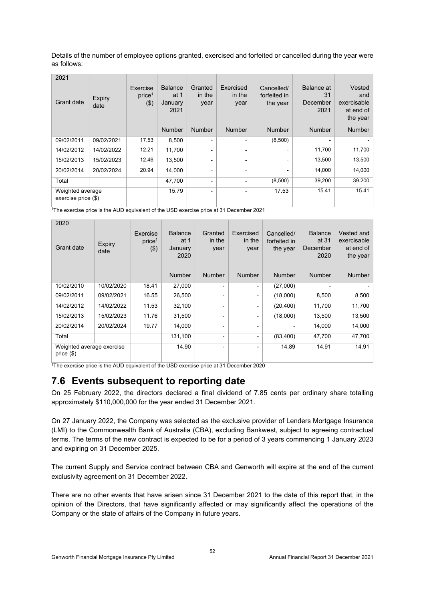Details of the number of employee options granted, exercised and forfeited or cancelled during the year were as follows:

| 2021<br>Grant date                        | <b>Expiry</b><br>date | Exercise<br>price <sup>1</sup><br>(3) | <b>Balance</b><br>at 1<br>January<br>2021 | Granted<br>in the<br>year | Exercised<br>in the<br>year | Cancelled/<br>forfeited in<br>the year | Balance at<br>31<br>December<br>2021 | Vested<br>and<br>exercisable<br>at end of<br>the year |
|-------------------------------------------|-----------------------|---------------------------------------|-------------------------------------------|---------------------------|-----------------------------|----------------------------------------|--------------------------------------|-------------------------------------------------------|
|                                           |                       |                                       | Number                                    | Number                    | <b>Number</b>               | <b>Number</b>                          | <b>Number</b>                        | <b>Number</b>                                         |
| 09/02/2011                                | 09/02/2021            | 17.53                                 | 8,500                                     | $\overline{\phantom{0}}$  | $\overline{\phantom{0}}$    | (8,500)                                |                                      |                                                       |
| 14/02/2012                                | 14/02/2022            | 12.21                                 | 11,700                                    |                           |                             |                                        | 11,700                               | 11,700                                                |
| 15/02/2013                                | 15/02/2023            | 12.46                                 | 13,500                                    |                           |                             |                                        | 13,500                               | 13,500                                                |
| 20/02/2014                                | 20/02/2024            | 20.94                                 | 14,000                                    | $\overline{\phantom{0}}$  | -                           |                                        | 14,000                               | 14,000                                                |
| Total                                     |                       |                                       | 47,700                                    | ۰                         | -                           | (8,500)                                | 39,200                               | 39,200                                                |
| Weighted average<br>exercise price $(\$)$ |                       |                                       | 15.79                                     | ۰                         | -                           | 17.53                                  | 15.41                                | 15.41                                                 |

1The exercise price is the AUD equivalent of the USD exercise price at 31 December 2021

| 2020<br>Grant date                        | Expiry<br>date | Exercise<br>price <sup>1</sup><br>(3) | <b>Balance</b><br>at 1<br>January<br>2020 | Granted<br>in the<br>year | Exercised<br>in the<br>year | Cancelled/<br>forfeited in<br>the year | <b>Balance</b><br>at 31<br>December<br>2020 | Vested and<br>exercisable<br>at end of<br>the year |
|-------------------------------------------|----------------|---------------------------------------|-------------------------------------------|---------------------------|-----------------------------|----------------------------------------|---------------------------------------------|----------------------------------------------------|
|                                           |                |                                       | <b>Number</b>                             | <b>Number</b>             | <b>Number</b>               | <b>Number</b>                          | <b>Number</b>                               | <b>Number</b>                                      |
| 10/02/2010                                | 10/02/2020     | 18.41                                 | 27,000                                    | -                         | $\overline{\phantom{0}}$    | (27,000)                               |                                             |                                                    |
| 09/02/2011                                | 09/02/2021     | 16.55                                 | 26,500                                    |                           |                             | (18,000)                               | 8,500                                       | 8,500                                              |
| 14/02/2012                                | 14/02/2022     | 11.53                                 | 32,100                                    | Ξ.                        | ٠                           | (20, 400)                              | 11,700                                      | 11,700                                             |
| 15/02/2013                                | 15/02/2023     | 11.76                                 | 31,500                                    |                           |                             | (18,000)                               | 13,500                                      | 13,500                                             |
| 20/02/2014                                | 20/02/2024     | 19.77                                 | 14,000                                    | -                         |                             | -                                      | 14,000                                      | 14,000                                             |
| Total                                     |                |                                       | 131,100                                   | -                         |                             | (83, 400)                              | 47,700                                      | 47,700                                             |
| Weighted average exercise<br>price $(\$)$ |                |                                       | 14.90                                     | Ξ.                        | -                           | 14.89                                  | 14.91                                       | 14.91                                              |

<sup>1</sup>The exercise price is the AUD equivalent of the USD exercise price at 31 December 2020

## **7.6 Events subsequent to reporting date**

On 25 February 2022, the directors declared a final dividend of 7.85 cents per ordinary share totalling approximately \$110,000,000 for the year ended 31 December 2021.

On 27 January 2022, the Company was selected as the exclusive provider of Lenders Mortgage Insurance (LMI) to the Commonwealth Bank of Australia (CBA), excluding Bankwest, subject to agreeing contractual terms. The terms of the new contract is expected to be for a period of 3 years commencing 1 January 2023 and expiring on 31 December 2025.

The current Supply and Service contract between CBA and Genworth will expire at the end of the current exclusivity agreement on 31 December 2022.

There are no other events that have arisen since 31 December 2021 to the date of this report that, in the opinion of the Directors, that have significantly affected or may significantly affect the operations of the Company or the state of affairs of the Company in future years.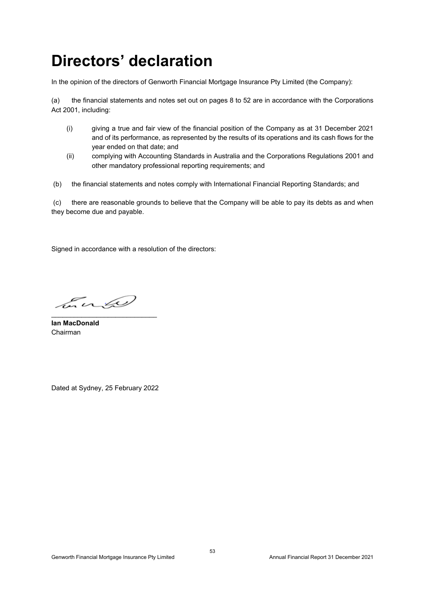## **Directors' declaration**

In the opinion of the directors of Genworth Financial Mortgage Insurance Pty Limited (the Company):

(a) the financial statements and notes set out on pages 8 to 52 are in accordance with the Corporations Act 2001, including:

- (i) giving a true and fair view of the financial position of the Company as at 31 December 2021 and of its performance, as represented by the results of its operations and its cash flows for the year ended on that date; and
- (ii) complying with Accounting Standards in Australia and the Corporations Regulations 2001 and other mandatory professional reporting requirements; and
- (b) the financial statements and notes comply with International Financial Reporting Standards; and

(c) there are reasonable grounds to believe that the Company will be able to pay its debts as and when they become due and payable.

Signed in accordance with a resolution of the directors:

Lucio \_\_\_\_\_\_\_\_\_\_\_\_\_\_\_\_\_\_\_\_\_\_\_\_\_\_\_\_

**Ian MacDonald**  Chairman

Dated at Sydney, 25 February 2022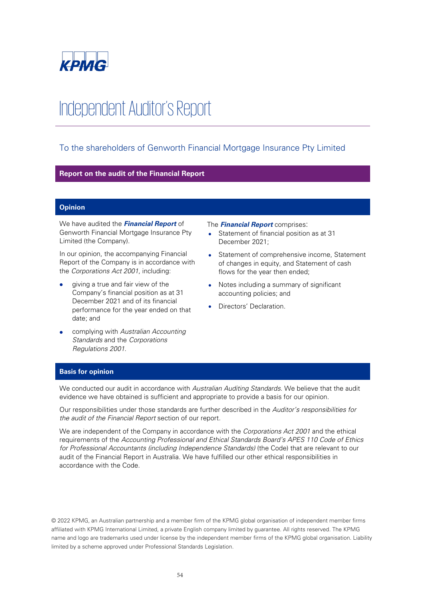

# Independent Auditor's Report

#### To the shareholders of Genworth Financial Mortgage Insurance Pty Limited

#### **Report on the audit of the Financial Report**

#### **Opinion**

We have audited the **Financial Report** of Genworth Financial Mortgage Insurance Pty Limited (the Company).

In our opinion, the accompanying Financial Report of the Company is in accordance with the Corporations Act 2001, including:

- giving a true and fair view of the Company's financial position as at 31 December 2021 and of its financial performance for the year ended on that date; and
- complying with Australian Accounting Standards and the Corporations Regulations 2001.

#### The **Financial Report** comprises:

- Statement of financial position as at 31 December 2021;
- Statement of comprehensive income, Statement of changes in equity, and Statement of cash flows for the year then ended;
- Notes including a summary of significant accounting policies; and
- Directors' Declaration.

#### **Basis for opinion**

We conducted our audit in accordance with Australian Auditing Standards. We believe that the audit evidence we have obtained is sufficient and appropriate to provide a basis for our opinion.

Our responsibilities under those standards are further described in the Auditor's responsibilities for the audit of the Financial Report section of our report.

We are independent of the Company in accordance with the Corporations Act 2001 and the ethical requirements of the Accounting Professional and Ethical Standards Board's APES 110 Code of Ethics for Professional Accountants (including Independence Standards) (the Code) that are relevant to our audit of the Financial Report in Australia. We have fulfilled our other ethical responsibilities in accordance with the Code.

© 2022 KPMG, an Australian partnership and a member firm of the KPMG global organisation of independent member firms affiliated with KPMG International Limited, a private English company limited by guarantee. All rights reserved. The KPMG name and logo are trademarks used under license by the independent member firms of the KPMG global organisation. Liability limited by a scheme approved under Professional Standards Legislation.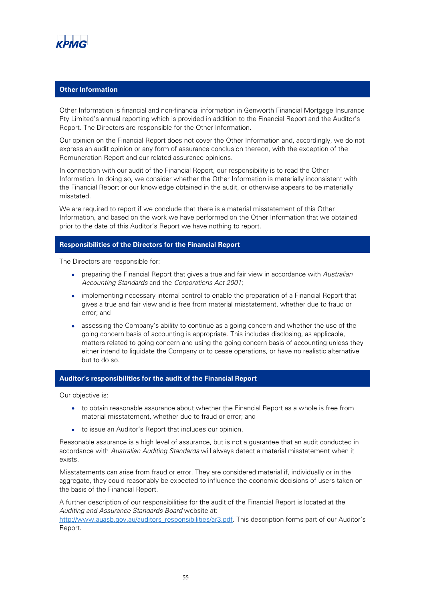

#### **Other Information**

Other Information is financial and non-financial information in Genworth Financial Mortgage Insurance Pty Limited's annual reporting which is provided in addition to the Financial Report and the Auditor's Report. The Directors are responsible for the Other Information.

Our opinion on the Financial Report does not cover the Other Information and, accordingly, we do not express an audit opinion or any form of assurance conclusion thereon, with the exception of the Remuneration Report and our related assurance opinions.

In connection with our audit of the Financial Report, our responsibility is to read the Other Information. In doing so, we consider whether the Other Information is materially inconsistent with the Financial Report or our knowledge obtained in the audit, or otherwise appears to be materially misstated.

We are required to report if we conclude that there is a material misstatement of this Other Information, and based on the work we have performed on the Other Information that we obtained prior to the date of this Auditor's Report we have nothing to report.

#### **Responsibilities of the Directors for the Financial Report**

The Directors are responsible for:

- preparing the Financial Report that gives a true and fair view in accordance with Australian Accounting Standards and the Corporations Act 2001;
- implementing necessary internal control to enable the preparation of a Financial Report that gives a true and fair view and is free from material misstatement, whether due to fraud or error; and
- assessing the Company's ability to continue as a going concern and whether the use of the going concern basis of accounting is appropriate. This includes disclosing, as applicable, matters related to going concern and using the going concern basis of accounting unless they either intend to liquidate the Company or to cease operations, or have no realistic alternative but to do so.

#### **Auditor's responsibilities for the audit of the Financial Report**

Our objective is:

- to obtain reasonable assurance about whether the Financial Report as a whole is free from material misstatement, whether due to fraud or error; and
- to issue an Auditor's Report that includes our opinion.

Reasonable assurance is a high level of assurance, but is not a guarantee that an audit conducted in accordance with Australian Auditing Standards will always detect a material misstatement when it exists.

Misstatements can arise from fraud or error. They are considered material if, individually or in the aggregate, they could reasonably be expected to influence the economic decisions of users taken on the basis of the Financial Report.

A further description of our responsibilities for the audit of the Financial Report is located at the Auditing and Assurance Standards Board website at:

[http://www.auasb.gov.au/auditors\\_responsibilities/ar3.pdf](http://www.auasb.gov.au/auditors_responsibilities/ar3.pdf). This description forms part of our Auditor's Report.